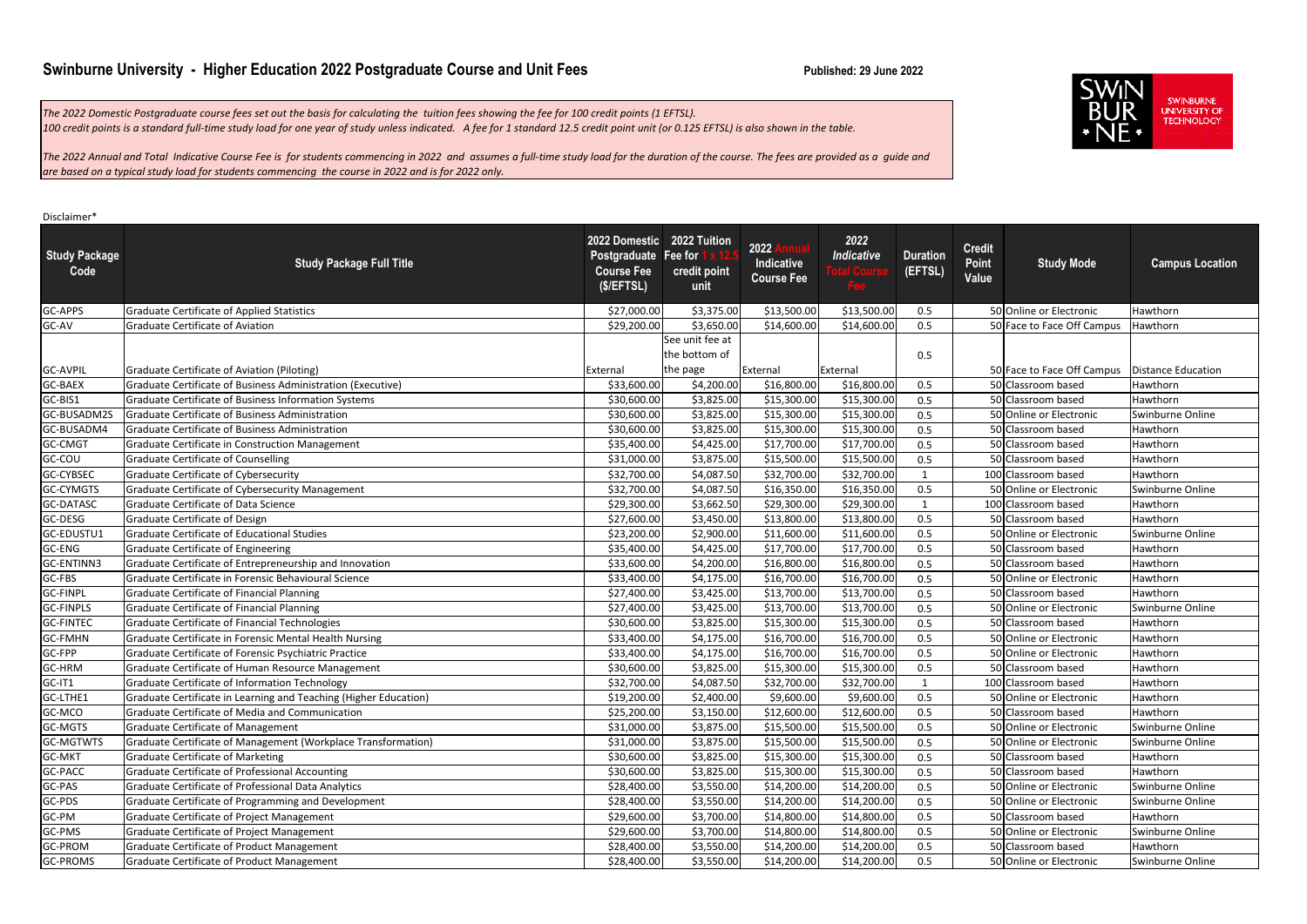#### Disclaimer\*

| <b>Study Package</b><br>Code | <b>Study Package Full Title</b>                                  | 2022 Domestic 2022 Tuition<br>Postgraduate Fee for<br><b>Course Fee</b><br>(\$/EFFISL) | credit point<br>unit             | 2022<br>Indicative<br><b>Course Fee</b> | 2022<br><b>Indicative</b><br>Fee | <b>Duration</b><br>(EFTSL) | <b>Credit</b><br>Point<br>Value | <b>Study Mode</b>                               | <b>Campus Location</b> |
|------------------------------|------------------------------------------------------------------|----------------------------------------------------------------------------------------|----------------------------------|-----------------------------------------|----------------------------------|----------------------------|---------------------------------|-------------------------------------------------|------------------------|
| GC-APPS                      | <b>Graduate Certificate of Applied Statistics</b>                | \$27,000.00                                                                            | \$3,375.00                       | \$13,500.00                             | \$13,500.00                      | 0.5                        |                                 | 50 Online or Electronic                         | Hawthorn               |
| GC-AV                        | <b>Graduate Certificate of Aviation</b>                          | \$29,200.00                                                                            | \$3,650.00                       | \$14,600.00                             | \$14,600.00                      | 0.5                        |                                 | 50 Face to Face Off Campus                      | Hawthorn               |
|                              |                                                                  |                                                                                        | See unit fee at<br>the bottom of |                                         |                                  | 0.5                        |                                 |                                                 |                        |
| <b>GC-AVPIL</b>              | Graduate Certificate of Aviation (Piloting)                      | External                                                                               | the page                         | External                                | External                         |                            |                                 | 50 Face to Face Off Campus   Distance Education |                        |
| <b>GC-BAEX</b>               | Graduate Certificate of Business Administration (Executive)      | \$33,600.00                                                                            | \$4,200.00                       | \$16,800.00                             | \$16,800.00                      | 0.5                        |                                 | 50 Classroom based                              | Hawthorn               |
| GC-BIS1                      | Graduate Certificate of Business Information Systems             | \$30,600.00                                                                            | \$3,825.00                       | \$15,300.00                             | \$15,300.00                      | 0.5                        |                                 | 50 Classroom based                              | Hawthorn               |
| GC-BUSADM2S                  | Graduate Certificate of Business Administration                  | \$30,600.00                                                                            | \$3,825.00                       | \$15,300.00                             | \$15,300.00                      | 0.5                        |                                 | 50 Online or Electronic                         | Swinburne Online       |
| GC-BUSADM4                   | Graduate Certificate of Business Administration                  | \$30,600.00                                                                            | \$3,825.00                       | \$15,300.00                             | \$15,300.00                      | 0.5                        |                                 | 50 Classroom based                              | Hawthorn               |
| <b>GC-CMGT</b>               | Graduate Certificate in Construction Management                  | \$35,400.00                                                                            | \$4,425.00                       | \$17,700.00                             | \$17,700.00                      | 0.5                        |                                 | 50 Classroom based                              | Hawthorn               |
| GC-COU                       | <b>Graduate Certificate of Counselling</b>                       | \$31,000.00                                                                            | \$3,875.00                       | \$15,500.00                             | \$15,500.00                      | 0.5                        |                                 | 50 Classroom based                              | Hawthorn               |
| <b>GC-CYBSEC</b>             | Graduate Certificate of Cybersecurity                            | \$32,700.00                                                                            | \$4,087.50                       | \$32,700.00                             | \$32,700.00                      | $\mathbf{1}$               |                                 | 100 Classroom based                             | Hawthorn               |
| <b>GC-CYMGTS</b>             | Graduate Certificate of Cybersecurity Management                 | \$32,700.00                                                                            | \$4,087.50                       | \$16,350.00                             | \$16,350.00                      | 0.5                        |                                 | 50 Online or Electronic                         | Swinburne Online       |
| <b>GC-DATASC</b>             | Graduate Certificate of Data Science                             | \$29,300.00                                                                            | \$3,662.50                       | \$29,300.00                             | \$29,300.00                      | $\mathbf{1}$               |                                 | 100 Classroom based                             | Hawthorn               |
| GC-DESG                      | Graduate Certificate of Design                                   | \$27,600.00                                                                            | \$3,450.00                       | \$13,800.00                             | \$13,800.00                      | 0.5                        |                                 | 50 Classroom based                              | Hawthorn               |
| GC-EDUSTU1                   | Graduate Certificate of Educational Studies                      | \$23,200.00                                                                            | \$2,900.00                       | \$11,600.00                             | \$11,600.00                      | 0.5                        |                                 | 50 Online or Electronic                         | Swinburne Online       |
| GC-ENG                       | <b>Graduate Certificate of Engineering</b>                       | \$35,400.00                                                                            | \$4,425.00                       | \$17,700.00                             | \$17,700.00                      | 0.5                        |                                 | 50 Classroom based                              | Hawthorn               |
| GC-ENTINN3                   | Graduate Certificate of Entrepreneurship and Innovation          | \$33,600.00                                                                            | \$4,200.00                       | \$16,800.00                             | \$16,800.00                      | 0.5                        |                                 | 50 Classroom based                              | Hawthorn               |
| GC-FBS                       | Graduate Certificate in Forensic Behavioural Science             | \$33,400.00                                                                            | \$4,175.00                       | \$16,700.00                             | \$16,700.00                      | 0.5                        |                                 | 50 Online or Electronic                         | Hawthorn               |
| <b>GC-FINPL</b>              | Graduate Certificate of Financial Planning                       | \$27,400.00                                                                            | \$3,425.00                       | \$13,700.00                             | \$13,700.00                      | 0.5                        |                                 | 50 Classroom based                              | Hawthorn               |
| <b>GC-FINPLS</b>             | <b>Graduate Certificate of Financial Planning</b>                | \$27,400.00                                                                            | \$3,425.00                       | \$13,700.00                             | \$13,700.00                      | 0.5                        |                                 | 50 Online or Electronic                         | Swinburne Online       |
| <b>GC-FINTEC</b>             | Graduate Certificate of Financial Technologies                   | \$30,600.00                                                                            | \$3,825.00                       | \$15,300.00                             | \$15,300.00                      | 0.5                        |                                 | 50 Classroom based                              | Hawthorn               |
| <b>GC-FMHN</b>               | Graduate Certificate in Forensic Mental Health Nursing           | \$33,400.00                                                                            | \$4,175.00                       | \$16,700.00                             | \$16,700.00                      | 0.5                        |                                 | 50 Online or Electronic                         | Hawthorn               |
| GC-FPP                       | Graduate Certificate of Forensic Psychiatric Practice            | \$33,400.00                                                                            | \$4,175.00                       | \$16,700.00                             | \$16,700.00                      | 0.5                        |                                 | 50 Online or Electronic                         | Hawthorn               |
| GC-HRM                       | Graduate Certificate of Human Resource Management                | \$30,600.00                                                                            | \$3,825.00                       | \$15,300.00                             | \$15,300.00                      | 0.5                        |                                 | 50 Classroom based                              | Hawthorn               |
| GC-IT1                       | Graduate Certificate of Information Technology                   | \$32,700.00                                                                            | \$4,087.50                       | \$32,700.00                             | \$32,700.00                      | $\mathbf 1$                |                                 | 100 Classroom based                             | Hawthorn               |
| GC-LTHE1                     | Graduate Certificate in Learning and Teaching (Higher Education) | \$19,200.00                                                                            | \$2,400.00                       | \$9,600.00                              | \$9,600.00                       | 0.5                        |                                 | 50 Online or Electronic                         | Hawthorn               |
| GC-MCO                       | Graduate Certificate of Media and Communication                  | \$25,200.00                                                                            | \$3,150.00                       | \$12,600.00                             | \$12,600.00                      | 0.5                        |                                 | 50 Classroom based                              | Hawthorn               |
| GC-MGTS                      | <b>Graduate Certificate of Management</b>                        | \$31,000.00                                                                            | \$3,875.00                       | \$15,500.00                             | \$15,500.00                      | 0.5                        |                                 | 50 Online or Electronic                         | Swinburne Online       |
| <b>GC-MGTWTS</b>             | Graduate Certificate of Management (Workplace Transformation)    | \$31,000.00                                                                            | \$3,875.00                       | \$15,500.00                             | \$15,500.00                      | 0.5                        |                                 | 50 Online or Electronic                         | Swinburne Online       |
| <b>GC-MKT</b>                | <b>Graduate Certificate of Marketing</b>                         | \$30,600.00                                                                            | \$3,825.00                       | \$15,300.00                             | \$15,300.00                      | 0.5                        |                                 | 50 Classroom based                              | Hawthorn               |
| GC-PACC                      | Graduate Certificate of Professional Accounting                  | \$30,600.00                                                                            | \$3,825.00                       | \$15,300.00                             | \$15,300.00                      | 0.5                        |                                 | 50 Classroom based                              | Hawthorn               |
| GC-PAS                       | Graduate Certificate of Professional Data Analytics              | \$28,400.00                                                                            | \$3,550.00                       | \$14,200.00                             | \$14,200.00                      | 0.5                        |                                 | 50 Online or Electronic                         | Swinburne Online       |
| GC-PDS                       | Graduate Certificate of Programming and Development              | \$28,400.00                                                                            | \$3,550.00                       | \$14,200.00                             | \$14,200.00                      | 0.5                        |                                 | 50 Online or Electronic                         | Swinburne Online       |
| GC-PM                        | Graduate Certificate of Project Management                       | \$29,600.00                                                                            | \$3,700.00                       | \$14,800.00                             | \$14,800.00                      | 0.5                        |                                 | 50 Classroom based                              | Hawthorn               |
| GC-PMS                       | <b>Graduate Certificate of Project Management</b>                | \$29,600.00                                                                            | \$3,700.00                       | \$14,800.00                             | \$14,800.00                      | 0.5                        |                                 | 50 Online or Electronic                         | Swinburne Online       |
| <b>GC-PROM</b>               | <b>Graduate Certificate of Product Management</b>                | \$28,400.00                                                                            | \$3,550.00                       | \$14,200.00                             | \$14,200.00                      | 0.5                        |                                 | 50 Classroom based                              | Hawthorn               |
| <b>GC-PROMS</b>              | Graduate Certificate of Product Management                       | \$28,400.00                                                                            | \$3,550.00                       | \$14,200.00                             | \$14,200.00                      | 0.5                        |                                 | 50 Online or Electronic                         | Swinburne Online       |



SWINBURNE<br>UNIVERSITY OF<br>TECHNOLOGY

## **Swinburne University - Higher Education 2022 Postgraduate Course and Unit Fees Published: 29 June 2022 Published: 29 June 2022**

*The 2022 Domestic Postgraduate course fees set out the basis for calculating the tuition fees showing the fee for 100 credit points (1 EFTSL). 100 credit points is a standard full-time study load for one year of study unless indicated. A fee for 1 standard 12.5 credit point unit (or 0.125 EFTSL) is also shown in the table.*

*The 2022 Annual and Total Indicative Course Fee is for students commencing in 2022 and assumes a full-time study load for the duration of the course. The fees are provided as a guide and are based on a typical study load for students commencing the course in 2022 and is for 2022 only.*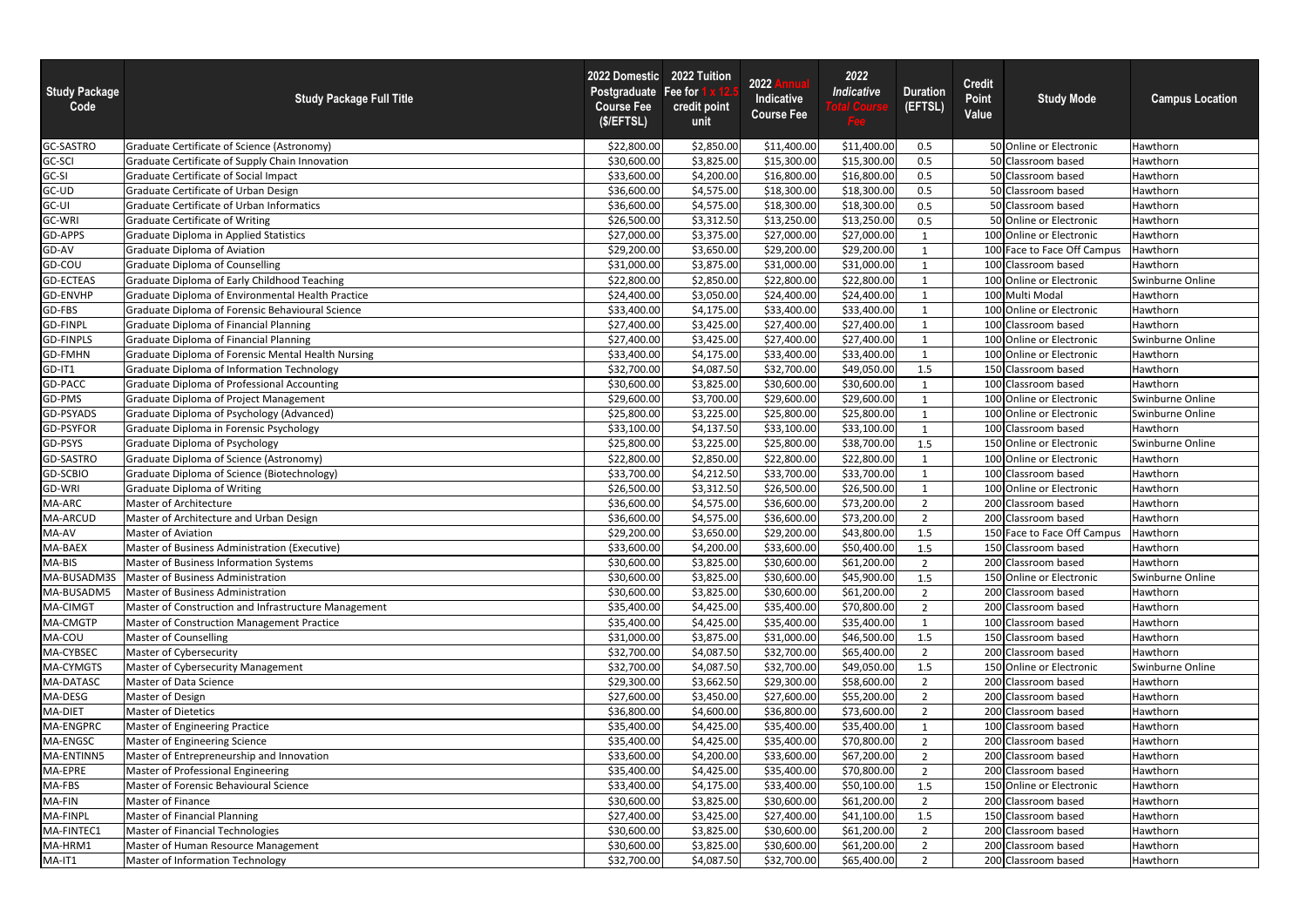| GC-SASTRO<br>Graduate Certificate of Science (Astronomy)<br>\$22,800.00<br>\$2,850.00<br>\$11,400.00<br>50 Online or Electronic<br>\$11,400.00<br>0.5<br>Hawthorn<br>GC-SCI<br>\$3,825.00<br>\$15,300.00<br>50<br>Graduate Certificate of Supply Chain Innovation<br>\$30,600.00<br>\$15,300.00<br><b>Classroom based</b><br>Hawthorn<br>0.5<br>GC-SI<br>\$4,200.00<br>\$16,800.00<br>\$16,800.00<br>0.5<br><b>Graduate Certificate of Social Impact</b><br>\$33,600.00<br><b>Classroom based</b><br>Hawthorn<br>GC-UD<br>\$36,600.00<br>\$4,575.00<br>\$18,300.00<br>50 Classroom based<br>Graduate Certificate of Urban Design<br>\$18,300.00<br>0.5<br>Hawthorn<br>GC-UI<br>\$4,575.00<br>\$18,300.00<br>\$18,300.00<br>0.5<br>50 Classroom based<br>Hawthorn<br><b>Graduate Certificate of Urban Informatics</b><br>\$36,600.00<br><b>GC-WRI</b><br>\$13,250.00<br>50 Online or Electronic<br><b>Graduate Certificate of Writing</b><br>\$26,500.00<br>\$3,312.50<br>\$13,250.00<br>0.5<br>Hawthorn<br>GD-APPS<br>\$27,000.00<br>\$3,375.00<br>\$27,000.00<br>100 Online or Electronic<br>Graduate Diploma in Applied Statistics<br>\$27,000.00<br>Hawthorn<br>$\mathbf{1}$<br>GD-AV<br>\$29,200.00<br>\$29,200.00<br>\$3,650.00<br>\$29,200.00<br><b>Graduate Diploma of Aviation</b><br>100 Face to Face Off Campus<br>Hawthorn<br>GD-COU<br>\$3,875.00<br>\$31,000.00<br><b>Graduate Diploma of Counselling</b><br>\$31,000.00<br>\$31,000.00<br>100 Classroom based<br>Hawthorn<br><b>GD-ECTEAS</b><br>\$22,800.00<br>\$22,800.00<br>Swinburne Online<br>Graduate Diploma of Early Childhood Teaching<br>\$22,800.00<br>\$2,850.00<br>100 Online or Electronic<br>GD-ENVHP<br>\$24,400.00<br>Graduate Diploma of Environmental Health Practice<br>\$3,050.00<br>\$24,400.00<br>100 Multi Modal<br>\$24,400.00<br>Hawthorn<br>GD-FBS<br>Graduate Diploma of Forensic Behavioural Science<br>\$4,175.00<br>\$33,400.00<br>\$33,400.00<br>\$33,400.00<br>100 Online or Electronic<br>Hawthorn<br>$\mathbf{1}$<br>GD-FINPL<br>\$3,425.00<br>\$27,400.00<br>\$27,400.00<br>\$27,400.00<br>Hawthorn<br><b>Graduate Diploma of Financial Planning</b><br>100 Classroom based<br>\$27,400.00<br><b>GD-FINPLS</b><br><b>Graduate Diploma of Financial Planning</b><br>\$3,425.00<br>\$27,400.00<br>100 Online or Electronic<br>Swinburne Online<br>\$27,400.00<br><b>GD-FMHN</b><br>Graduate Diploma of Forensic Mental Health Nursing<br>\$4,175.00<br>\$33,400.00<br>\$33,400.00<br>\$33,400.00<br>100 Online or Electronic<br>Hawthorn<br>GD-IT1<br>\$32,700.00<br><b>Graduate Diploma of Information Technology</b><br>\$32,700.00<br>\$4,087.50<br>\$49,050.00<br>1.5<br>150 Classroom based<br>Hawthorn<br>GD-PACC<br>\$30,600.00<br>\$3,825.00<br>\$30,600.00<br>100 Classroom based<br>Graduate Diploma of Professional Accounting<br>\$30,600.00<br>Hawthorn<br>GD-PMS<br>\$3,700.00<br>\$29,600.00<br>\$29,600.00<br>\$29,600.00<br>100 Online or Electronic<br>Swinburne Online<br>Graduate Diploma of Project Management<br>GD-PSYADS<br>\$3,225.00<br>Graduate Diploma of Psychology (Advanced)<br>\$25,800.00<br>\$25,800.00<br>\$25,800.00<br>100 Online or Electronic<br>Swinburne Online<br>$\mathbf{1}$<br>GD-PSYFOR<br>\$4,137.50<br>\$33,100.00<br>Graduate Diploma in Forensic Psychology<br>\$33,100.00<br>\$33,100.00<br>100 Classroom based<br>Hawthorn<br>$\mathbf{1}$<br>GD-PSYS<br>\$25,800.00<br>\$3,225.00<br>\$25,800.00<br>\$38,700.00<br>150 Online or Electronic<br>Swinburne Online<br><b>Graduate Diploma of Psychology</b><br>1.5<br>\$22,800.00<br>GD-SASTRO<br>\$2,850.00<br>Graduate Diploma of Science (Astronomy)<br>\$22,800.00<br>\$22,800.00<br>100 Online or Electronic<br>Hawthorn<br>GD-SCBIO<br>\$4,212.50<br>\$33,700.00<br>Hawthorn<br>Graduate Diploma of Science (Biotechnology)<br>\$33,700.00<br>\$33,700.00<br>100 Classroom based<br><b>GD-WRI</b><br>\$3,312.50<br>\$26,500.00<br>\$26,500.00<br>\$26,500.00<br>100 Online or Electronic<br><b>Graduate Diploma of Writing</b><br>Hawthorn<br>MA-ARC<br>\$4,575.00<br>\$36,600.00<br>Master of Architecture<br>\$36,600.00<br>\$73,200.00<br>$\overline{2}$<br>200 Classroom based<br>Hawthorn<br>\$4,575.00<br>\$36,600.00<br>\$73,200.00<br>200 Classroom based<br>Hawthorn<br>Master of Architecture and Urban Design<br>\$36,600.00<br>$\mathcal{P}$<br>MA-AV<br>Hawthorn<br>\$3,650.00<br>\$29,200.00<br>150 Face to Face Off Campus<br>Master of Aviation<br>\$29,200.00<br>\$43,800.00<br>1.5<br>MA-BAEX<br>Master of Business Administration (Executive)<br>150 Classroom based<br>\$33,600.00<br>\$4,200.00<br>\$33,600.00<br>\$50,400.00<br>1.5<br>Hawthorn<br>MA-BIS<br>\$30,600.00<br>Master of Business Information Systems<br>\$30,600.00<br>\$3,825.00<br>\$61,200.00<br>200 Classroom based<br>Hawthorn<br>$\overline{2}$<br>MA-BUSADM3S<br><b>Master of Business Administration</b><br>\$3,825.00<br>\$30,600.00<br>\$45,900.00<br>150 Online or Electronic<br>Swinburne Online<br>\$30,600.00<br>1.5<br>MA-BUSADM5<br>\$30,600.00<br>Master of Business Administration<br>\$3,825.00<br>\$61,200.00<br>200 Classroom based<br>Hawthorn<br>\$30,600.00<br>$\overline{2}$<br>MA-CIMGT<br>Master of Construction and Infrastructure Management<br>\$35,400.00<br>\$4,425.00<br>\$35,400.00<br>\$70,800.00<br>$\overline{2}$<br>200 Classroom based<br>Hawthorn<br>MA-CMGTP<br>Master of Construction Management Practice<br>\$35,400.00<br>\$35,400.00<br>\$4,425.00<br>\$35,400.00<br>100 Classroom based<br>Hawthorn<br>MA-COU<br>\$3,875.00<br>\$31,000.00<br>\$46,500.00<br>Master of Counselling<br>\$31,000.00<br>1.5<br>150 Classroom based<br>Hawthorn<br>MA-CYBSEC<br>\$4,087.50<br>\$32,700.00<br>Master of Cybersecurity<br>\$32,700.00<br>\$65,400.00<br>200 Classroom based<br>Hawthorn<br>$\overline{2}$<br>MA-CYMGTS<br>\$4,087.50<br>\$32,700.00<br>\$49,050.00<br>150 Online or Electronic<br>Swinburne Online<br>Master of Cybersecurity Management<br>\$32,700.00<br>1.5<br>MA-DATASC<br>\$3,662.50<br>\$29,300.00<br>\$29,300.00<br>\$58,600.00<br>200 Classroom based<br>Master of Data Science<br>$\overline{2}$<br>Hawthorn<br>MA-DESG<br>\$27,600.00<br>Master of Design<br>\$27,600.00<br>\$3,450.00<br>\$55,200.00<br>$\overline{2}$<br>200 Classroom based<br>Hawthorn<br>MA-DIET<br>\$4,600.00<br>\$36,800.00<br>\$73,600.00<br>Hawthorn<br><b>Master of Dietetics</b><br>\$36,800.00<br>$\overline{2}$<br>200 Classroom based<br>MA-ENGPRC<br>\$4,425.00<br>\$35,400.00<br><b>Master of Engineering Practice</b><br>\$35,400.00<br>\$35,400.00<br>100 Classroom based<br>Hawthorn<br>MA-ENGSC<br>\$35,400.00<br>\$70,800.00<br>200 Classroom based<br><b>Master of Engineering Science</b><br>\$35,400.00<br>\$4,425.00<br>$\overline{2}$<br>Hawthorn<br>MA-ENTINN5<br>\$4,200.00<br>\$33,600.00<br>\$67,200.00<br>Master of Entrepreneurship and Innovation<br>\$33,600.00<br>$\overline{2}$<br>200 Classroom based<br>Hawthorn<br>MA-EPRE<br>Master of Professional Engineering<br>\$4,425.00<br>\$35,400.00<br>\$70,800.00<br>200 Classroom based<br>Hawthorn<br>\$35,400.00<br>$\overline{2}$<br>MA-FBS<br>Master of Forensic Behavioural Science<br>\$4,175.00<br>\$33,400.00<br>\$50,100.00<br>150 Online or Electronic<br>Hawthorn<br>\$33,400.00<br>1.5<br>MA-FIN<br>Master of Finance<br>\$3,825.00<br>\$30,600.00<br>\$61,200.00<br>200 Classroom based<br>\$30,600.00<br>$\overline{2}$<br>Hawthorn<br>MA-FINPL<br>Master of Financial Planning<br>\$3,425.00<br>\$27,400.00<br>150 Classroom based<br>\$27,400.00<br>\$41,100.00<br>1.5<br>Hawthorn<br>MA-FINTEC1<br>Master of Financial Technologies<br>\$3,825.00<br>\$30,600.00<br>\$30,600.00<br>\$61,200.00<br>200 Classroom based<br>Hawthorn<br>$\overline{2}$<br>MA-HRM1<br>Hawthorn<br>Master of Human Resource Management<br>\$30,600.00<br>\$3,825.00<br>\$30,600.00<br>\$61,200.00<br>$\overline{2}$<br>200 Classroom based<br>200 Classroom based | <b>Study Package</b><br>Code | <b>Study Package Full Title</b>  | 2022 Domestic<br>Postgraduate Fee for<br><b>Course Fee</b><br>(\$/EFFISL) | 2022 Tuition<br>credit point<br>unit | 2022<br>Indicative<br><b>Course Fee</b> | 2022<br><b>Indicative</b><br>Fee | <b>Duration</b><br>(EFTSL) | <b>Credit</b><br>Point<br>Value | <b>Study Mode</b> | <b>Campus Location</b> |
|--------------------------------------------------------------------------------------------------------------------------------------------------------------------------------------------------------------------------------------------------------------------------------------------------------------------------------------------------------------------------------------------------------------------------------------------------------------------------------------------------------------------------------------------------------------------------------------------------------------------------------------------------------------------------------------------------------------------------------------------------------------------------------------------------------------------------------------------------------------------------------------------------------------------------------------------------------------------------------------------------------------------------------------------------------------------------------------------------------------------------------------------------------------------------------------------------------------------------------------------------------------------------------------------------------------------------------------------------------------------------------------------------------------------------------------------------------------------------------------------------------------------------------------------------------------------------------------------------------------------------------------------------------------------------------------------------------------------------------------------------------------------------------------------------------------------------------------------------------------------------------------------------------------------------------------------------------------------------------------------------------------------------------------------------------------------------------------------------------------------------------------------------------------------------------------------------------------------------------------------------------------------------------------------------------------------------------------------------------------------------------------------------------------------------------------------------------------------------------------------------------------------------------------------------------------------------------------------------------------------------------------------------------------------------------------------------------------------------------------------------------------------------------------------------------------------------------------------------------------------------------------------------------------------------------------------------------------------------------------------------------------------------------------------------------------------------------------------------------------------------------------------------------------------------------------------------------------------------------------------------------------------------------------------------------------------------------------------------------------------------------------------------------------------------------------------------------------------------------------------------------------------------------------------------------------------------------------------------------------------------------------------------------------------------------------------------------------------------------------------------------------------------------------------------------------------------------------------------------------------------------------------------------------------------------------------------------------------------------------------------------------------------------------------------------------------------------------------------------------------------------------------------------------------------------------------------------------------------------------------------------------------------------------------------------------------------------------------------------------------------------------------------------------------------------------------------------------------------------------------------------------------------------------------------------------------------------------------------------------------------------------------------------------------------------------------------------------------------------------------------------------------------------------------------------------------------------------------------------------------------------------------------------------------------------------------------------------------------------------------------------------------------------------------------------------------------------------------------------------------------------------------------------------------------------------------------------------------------------------------------------------------------------------------------------------------------------------------------------------------------------------------------------------------------------------------------------------------------------------------------------------------------------------------------------------------------------------------------------------------------------------------------------------------------------------------------------------------------------------------------------------------------------------------------------------------------------------------------------------------------------------------------------------------------------------------------------------------------------------------------------------------------------------------------------------------------------------------------------------------------------------------------------------------------------------------------------------------------------------------------------------------------------------------------------------------------------------------------------------------------------------------------------------------------------------------------------------------------------------------------------------------------------------------------------------------------------------------------------------------------------------------------------------------------------------------------------------------------------------------------------------------------------------------------------------------------------------------------------------------------------------------------------------------------------------------------------------------------------------------------------------------------------------------------------------------------------------------------------------------------------------------------------------------------------------------------------------------------------------------------------------------------------------------------------------------------------------------------------------------------------------------------------------------------------------------------------------------------------------------------------------------------------------------------------------------------------------------------------------------------------------------------------------------------------------------------------------------------------------------------------------------------------------------------------------------------------------------------------------------------------------------------------------------------------------------------------------------------------|------------------------------|----------------------------------|---------------------------------------------------------------------------|--------------------------------------|-----------------------------------------|----------------------------------|----------------------------|---------------------------------|-------------------|------------------------|
| MA-ARCUD                                                                                                                                                                                                                                                                                                                                                                                                                                                                                                                                                                                                                                                                                                                                                                                                                                                                                                                                                                                                                                                                                                                                                                                                                                                                                                                                                                                                                                                                                                                                                                                                                                                                                                                                                                                                                                                                                                                                                                                                                                                                                                                                                                                                                                                                                                                                                                                                                                                                                                                                                                                                                                                                                                                                                                                                                                                                                                                                                                                                                                                                                                                                                                                                                                                                                                                                                                                                                                                                                                                                                                                                                                                                                                                                                                                                                                                                                                                                                                                                                                                                                                                                                                                                                                                                                                                                                                                                                                                                                                                                                                                                                                                                                                                                                                                                                                                                                                                                                                                                                                                                                                                                                                                                                                                                                                                                                                                                                                                                                                                                                                                                                                                                                                                                                                                                                                                                                                                                                                                                                                                                                                                                                                                                                                                                                                                                                                                                                                                                                                                                                                                                                                                                                                                                                                                                                                                                                                                                                                                                                                                                                                                                                                                                                                                                                                                                                                                                                                                                                                                                                                                                                                                                                                                                                                                                                                                                                                                                                                       |                              |                                  |                                                                           |                                      |                                         |                                  |                            |                                 |                   |                        |
|                                                                                                                                                                                                                                                                                                                                                                                                                                                                                                                                                                                                                                                                                                                                                                                                                                                                                                                                                                                                                                                                                                                                                                                                                                                                                                                                                                                                                                                                                                                                                                                                                                                                                                                                                                                                                                                                                                                                                                                                                                                                                                                                                                                                                                                                                                                                                                                                                                                                                                                                                                                                                                                                                                                                                                                                                                                                                                                                                                                                                                                                                                                                                                                                                                                                                                                                                                                                                                                                                                                                                                                                                                                                                                                                                                                                                                                                                                                                                                                                                                                                                                                                                                                                                                                                                                                                                                                                                                                                                                                                                                                                                                                                                                                                                                                                                                                                                                                                                                                                                                                                                                                                                                                                                                                                                                                                                                                                                                                                                                                                                                                                                                                                                                                                                                                                                                                                                                                                                                                                                                                                                                                                                                                                                                                                                                                                                                                                                                                                                                                                                                                                                                                                                                                                                                                                                                                                                                                                                                                                                                                                                                                                                                                                                                                                                                                                                                                                                                                                                                                                                                                                                                                                                                                                                                                                                                                                                                                                                                                |                              |                                  |                                                                           |                                      |                                         |                                  |                            |                                 |                   |                        |
|                                                                                                                                                                                                                                                                                                                                                                                                                                                                                                                                                                                                                                                                                                                                                                                                                                                                                                                                                                                                                                                                                                                                                                                                                                                                                                                                                                                                                                                                                                                                                                                                                                                                                                                                                                                                                                                                                                                                                                                                                                                                                                                                                                                                                                                                                                                                                                                                                                                                                                                                                                                                                                                                                                                                                                                                                                                                                                                                                                                                                                                                                                                                                                                                                                                                                                                                                                                                                                                                                                                                                                                                                                                                                                                                                                                                                                                                                                                                                                                                                                                                                                                                                                                                                                                                                                                                                                                                                                                                                                                                                                                                                                                                                                                                                                                                                                                                                                                                                                                                                                                                                                                                                                                                                                                                                                                                                                                                                                                                                                                                                                                                                                                                                                                                                                                                                                                                                                                                                                                                                                                                                                                                                                                                                                                                                                                                                                                                                                                                                                                                                                                                                                                                                                                                                                                                                                                                                                                                                                                                                                                                                                                                                                                                                                                                                                                                                                                                                                                                                                                                                                                                                                                                                                                                                                                                                                                                                                                                                                                |                              |                                  |                                                                           |                                      |                                         |                                  |                            |                                 |                   |                        |
|                                                                                                                                                                                                                                                                                                                                                                                                                                                                                                                                                                                                                                                                                                                                                                                                                                                                                                                                                                                                                                                                                                                                                                                                                                                                                                                                                                                                                                                                                                                                                                                                                                                                                                                                                                                                                                                                                                                                                                                                                                                                                                                                                                                                                                                                                                                                                                                                                                                                                                                                                                                                                                                                                                                                                                                                                                                                                                                                                                                                                                                                                                                                                                                                                                                                                                                                                                                                                                                                                                                                                                                                                                                                                                                                                                                                                                                                                                                                                                                                                                                                                                                                                                                                                                                                                                                                                                                                                                                                                                                                                                                                                                                                                                                                                                                                                                                                                                                                                                                                                                                                                                                                                                                                                                                                                                                                                                                                                                                                                                                                                                                                                                                                                                                                                                                                                                                                                                                                                                                                                                                                                                                                                                                                                                                                                                                                                                                                                                                                                                                                                                                                                                                                                                                                                                                                                                                                                                                                                                                                                                                                                                                                                                                                                                                                                                                                                                                                                                                                                                                                                                                                                                                                                                                                                                                                                                                                                                                                                                                |                              |                                  |                                                                           |                                      |                                         |                                  |                            |                                 |                   |                        |
|                                                                                                                                                                                                                                                                                                                                                                                                                                                                                                                                                                                                                                                                                                                                                                                                                                                                                                                                                                                                                                                                                                                                                                                                                                                                                                                                                                                                                                                                                                                                                                                                                                                                                                                                                                                                                                                                                                                                                                                                                                                                                                                                                                                                                                                                                                                                                                                                                                                                                                                                                                                                                                                                                                                                                                                                                                                                                                                                                                                                                                                                                                                                                                                                                                                                                                                                                                                                                                                                                                                                                                                                                                                                                                                                                                                                                                                                                                                                                                                                                                                                                                                                                                                                                                                                                                                                                                                                                                                                                                                                                                                                                                                                                                                                                                                                                                                                                                                                                                                                                                                                                                                                                                                                                                                                                                                                                                                                                                                                                                                                                                                                                                                                                                                                                                                                                                                                                                                                                                                                                                                                                                                                                                                                                                                                                                                                                                                                                                                                                                                                                                                                                                                                                                                                                                                                                                                                                                                                                                                                                                                                                                                                                                                                                                                                                                                                                                                                                                                                                                                                                                                                                                                                                                                                                                                                                                                                                                                                                                                |                              |                                  |                                                                           |                                      |                                         |                                  |                            |                                 |                   |                        |
|                                                                                                                                                                                                                                                                                                                                                                                                                                                                                                                                                                                                                                                                                                                                                                                                                                                                                                                                                                                                                                                                                                                                                                                                                                                                                                                                                                                                                                                                                                                                                                                                                                                                                                                                                                                                                                                                                                                                                                                                                                                                                                                                                                                                                                                                                                                                                                                                                                                                                                                                                                                                                                                                                                                                                                                                                                                                                                                                                                                                                                                                                                                                                                                                                                                                                                                                                                                                                                                                                                                                                                                                                                                                                                                                                                                                                                                                                                                                                                                                                                                                                                                                                                                                                                                                                                                                                                                                                                                                                                                                                                                                                                                                                                                                                                                                                                                                                                                                                                                                                                                                                                                                                                                                                                                                                                                                                                                                                                                                                                                                                                                                                                                                                                                                                                                                                                                                                                                                                                                                                                                                                                                                                                                                                                                                                                                                                                                                                                                                                                                                                                                                                                                                                                                                                                                                                                                                                                                                                                                                                                                                                                                                                                                                                                                                                                                                                                                                                                                                                                                                                                                                                                                                                                                                                                                                                                                                                                                                                                                |                              |                                  |                                                                           |                                      |                                         |                                  |                            |                                 |                   |                        |
|                                                                                                                                                                                                                                                                                                                                                                                                                                                                                                                                                                                                                                                                                                                                                                                                                                                                                                                                                                                                                                                                                                                                                                                                                                                                                                                                                                                                                                                                                                                                                                                                                                                                                                                                                                                                                                                                                                                                                                                                                                                                                                                                                                                                                                                                                                                                                                                                                                                                                                                                                                                                                                                                                                                                                                                                                                                                                                                                                                                                                                                                                                                                                                                                                                                                                                                                                                                                                                                                                                                                                                                                                                                                                                                                                                                                                                                                                                                                                                                                                                                                                                                                                                                                                                                                                                                                                                                                                                                                                                                                                                                                                                                                                                                                                                                                                                                                                                                                                                                                                                                                                                                                                                                                                                                                                                                                                                                                                                                                                                                                                                                                                                                                                                                                                                                                                                                                                                                                                                                                                                                                                                                                                                                                                                                                                                                                                                                                                                                                                                                                                                                                                                                                                                                                                                                                                                                                                                                                                                                                                                                                                                                                                                                                                                                                                                                                                                                                                                                                                                                                                                                                                                                                                                                                                                                                                                                                                                                                                                                |                              |                                  |                                                                           |                                      |                                         |                                  |                            |                                 |                   |                        |
|                                                                                                                                                                                                                                                                                                                                                                                                                                                                                                                                                                                                                                                                                                                                                                                                                                                                                                                                                                                                                                                                                                                                                                                                                                                                                                                                                                                                                                                                                                                                                                                                                                                                                                                                                                                                                                                                                                                                                                                                                                                                                                                                                                                                                                                                                                                                                                                                                                                                                                                                                                                                                                                                                                                                                                                                                                                                                                                                                                                                                                                                                                                                                                                                                                                                                                                                                                                                                                                                                                                                                                                                                                                                                                                                                                                                                                                                                                                                                                                                                                                                                                                                                                                                                                                                                                                                                                                                                                                                                                                                                                                                                                                                                                                                                                                                                                                                                                                                                                                                                                                                                                                                                                                                                                                                                                                                                                                                                                                                                                                                                                                                                                                                                                                                                                                                                                                                                                                                                                                                                                                                                                                                                                                                                                                                                                                                                                                                                                                                                                                                                                                                                                                                                                                                                                                                                                                                                                                                                                                                                                                                                                                                                                                                                                                                                                                                                                                                                                                                                                                                                                                                                                                                                                                                                                                                                                                                                                                                                                                |                              |                                  |                                                                           |                                      |                                         |                                  |                            |                                 |                   |                        |
|                                                                                                                                                                                                                                                                                                                                                                                                                                                                                                                                                                                                                                                                                                                                                                                                                                                                                                                                                                                                                                                                                                                                                                                                                                                                                                                                                                                                                                                                                                                                                                                                                                                                                                                                                                                                                                                                                                                                                                                                                                                                                                                                                                                                                                                                                                                                                                                                                                                                                                                                                                                                                                                                                                                                                                                                                                                                                                                                                                                                                                                                                                                                                                                                                                                                                                                                                                                                                                                                                                                                                                                                                                                                                                                                                                                                                                                                                                                                                                                                                                                                                                                                                                                                                                                                                                                                                                                                                                                                                                                                                                                                                                                                                                                                                                                                                                                                                                                                                                                                                                                                                                                                                                                                                                                                                                                                                                                                                                                                                                                                                                                                                                                                                                                                                                                                                                                                                                                                                                                                                                                                                                                                                                                                                                                                                                                                                                                                                                                                                                                                                                                                                                                                                                                                                                                                                                                                                                                                                                                                                                                                                                                                                                                                                                                                                                                                                                                                                                                                                                                                                                                                                                                                                                                                                                                                                                                                                                                                                                                |                              |                                  |                                                                           |                                      |                                         |                                  |                            |                                 |                   |                        |
|                                                                                                                                                                                                                                                                                                                                                                                                                                                                                                                                                                                                                                                                                                                                                                                                                                                                                                                                                                                                                                                                                                                                                                                                                                                                                                                                                                                                                                                                                                                                                                                                                                                                                                                                                                                                                                                                                                                                                                                                                                                                                                                                                                                                                                                                                                                                                                                                                                                                                                                                                                                                                                                                                                                                                                                                                                                                                                                                                                                                                                                                                                                                                                                                                                                                                                                                                                                                                                                                                                                                                                                                                                                                                                                                                                                                                                                                                                                                                                                                                                                                                                                                                                                                                                                                                                                                                                                                                                                                                                                                                                                                                                                                                                                                                                                                                                                                                                                                                                                                                                                                                                                                                                                                                                                                                                                                                                                                                                                                                                                                                                                                                                                                                                                                                                                                                                                                                                                                                                                                                                                                                                                                                                                                                                                                                                                                                                                                                                                                                                                                                                                                                                                                                                                                                                                                                                                                                                                                                                                                                                                                                                                                                                                                                                                                                                                                                                                                                                                                                                                                                                                                                                                                                                                                                                                                                                                                                                                                                                                |                              |                                  |                                                                           |                                      |                                         |                                  |                            |                                 |                   |                        |
|                                                                                                                                                                                                                                                                                                                                                                                                                                                                                                                                                                                                                                                                                                                                                                                                                                                                                                                                                                                                                                                                                                                                                                                                                                                                                                                                                                                                                                                                                                                                                                                                                                                                                                                                                                                                                                                                                                                                                                                                                                                                                                                                                                                                                                                                                                                                                                                                                                                                                                                                                                                                                                                                                                                                                                                                                                                                                                                                                                                                                                                                                                                                                                                                                                                                                                                                                                                                                                                                                                                                                                                                                                                                                                                                                                                                                                                                                                                                                                                                                                                                                                                                                                                                                                                                                                                                                                                                                                                                                                                                                                                                                                                                                                                                                                                                                                                                                                                                                                                                                                                                                                                                                                                                                                                                                                                                                                                                                                                                                                                                                                                                                                                                                                                                                                                                                                                                                                                                                                                                                                                                                                                                                                                                                                                                                                                                                                                                                                                                                                                                                                                                                                                                                                                                                                                                                                                                                                                                                                                                                                                                                                                                                                                                                                                                                                                                                                                                                                                                                                                                                                                                                                                                                                                                                                                                                                                                                                                                                                                |                              |                                  |                                                                           |                                      |                                         |                                  |                            |                                 |                   |                        |
|                                                                                                                                                                                                                                                                                                                                                                                                                                                                                                                                                                                                                                                                                                                                                                                                                                                                                                                                                                                                                                                                                                                                                                                                                                                                                                                                                                                                                                                                                                                                                                                                                                                                                                                                                                                                                                                                                                                                                                                                                                                                                                                                                                                                                                                                                                                                                                                                                                                                                                                                                                                                                                                                                                                                                                                                                                                                                                                                                                                                                                                                                                                                                                                                                                                                                                                                                                                                                                                                                                                                                                                                                                                                                                                                                                                                                                                                                                                                                                                                                                                                                                                                                                                                                                                                                                                                                                                                                                                                                                                                                                                                                                                                                                                                                                                                                                                                                                                                                                                                                                                                                                                                                                                                                                                                                                                                                                                                                                                                                                                                                                                                                                                                                                                                                                                                                                                                                                                                                                                                                                                                                                                                                                                                                                                                                                                                                                                                                                                                                                                                                                                                                                                                                                                                                                                                                                                                                                                                                                                                                                                                                                                                                                                                                                                                                                                                                                                                                                                                                                                                                                                                                                                                                                                                                                                                                                                                                                                                                                                |                              |                                  |                                                                           |                                      |                                         |                                  |                            |                                 |                   |                        |
|                                                                                                                                                                                                                                                                                                                                                                                                                                                                                                                                                                                                                                                                                                                                                                                                                                                                                                                                                                                                                                                                                                                                                                                                                                                                                                                                                                                                                                                                                                                                                                                                                                                                                                                                                                                                                                                                                                                                                                                                                                                                                                                                                                                                                                                                                                                                                                                                                                                                                                                                                                                                                                                                                                                                                                                                                                                                                                                                                                                                                                                                                                                                                                                                                                                                                                                                                                                                                                                                                                                                                                                                                                                                                                                                                                                                                                                                                                                                                                                                                                                                                                                                                                                                                                                                                                                                                                                                                                                                                                                                                                                                                                                                                                                                                                                                                                                                                                                                                                                                                                                                                                                                                                                                                                                                                                                                                                                                                                                                                                                                                                                                                                                                                                                                                                                                                                                                                                                                                                                                                                                                                                                                                                                                                                                                                                                                                                                                                                                                                                                                                                                                                                                                                                                                                                                                                                                                                                                                                                                                                                                                                                                                                                                                                                                                                                                                                                                                                                                                                                                                                                                                                                                                                                                                                                                                                                                                                                                                                                                |                              |                                  |                                                                           |                                      |                                         |                                  |                            |                                 |                   |                        |
|                                                                                                                                                                                                                                                                                                                                                                                                                                                                                                                                                                                                                                                                                                                                                                                                                                                                                                                                                                                                                                                                                                                                                                                                                                                                                                                                                                                                                                                                                                                                                                                                                                                                                                                                                                                                                                                                                                                                                                                                                                                                                                                                                                                                                                                                                                                                                                                                                                                                                                                                                                                                                                                                                                                                                                                                                                                                                                                                                                                                                                                                                                                                                                                                                                                                                                                                                                                                                                                                                                                                                                                                                                                                                                                                                                                                                                                                                                                                                                                                                                                                                                                                                                                                                                                                                                                                                                                                                                                                                                                                                                                                                                                                                                                                                                                                                                                                                                                                                                                                                                                                                                                                                                                                                                                                                                                                                                                                                                                                                                                                                                                                                                                                                                                                                                                                                                                                                                                                                                                                                                                                                                                                                                                                                                                                                                                                                                                                                                                                                                                                                                                                                                                                                                                                                                                                                                                                                                                                                                                                                                                                                                                                                                                                                                                                                                                                                                                                                                                                                                                                                                                                                                                                                                                                                                                                                                                                                                                                                                                |                              |                                  |                                                                           |                                      |                                         |                                  |                            |                                 |                   |                        |
|                                                                                                                                                                                                                                                                                                                                                                                                                                                                                                                                                                                                                                                                                                                                                                                                                                                                                                                                                                                                                                                                                                                                                                                                                                                                                                                                                                                                                                                                                                                                                                                                                                                                                                                                                                                                                                                                                                                                                                                                                                                                                                                                                                                                                                                                                                                                                                                                                                                                                                                                                                                                                                                                                                                                                                                                                                                                                                                                                                                                                                                                                                                                                                                                                                                                                                                                                                                                                                                                                                                                                                                                                                                                                                                                                                                                                                                                                                                                                                                                                                                                                                                                                                                                                                                                                                                                                                                                                                                                                                                                                                                                                                                                                                                                                                                                                                                                                                                                                                                                                                                                                                                                                                                                                                                                                                                                                                                                                                                                                                                                                                                                                                                                                                                                                                                                                                                                                                                                                                                                                                                                                                                                                                                                                                                                                                                                                                                                                                                                                                                                                                                                                                                                                                                                                                                                                                                                                                                                                                                                                                                                                                                                                                                                                                                                                                                                                                                                                                                                                                                                                                                                                                                                                                                                                                                                                                                                                                                                                                                |                              |                                  |                                                                           |                                      |                                         |                                  |                            |                                 |                   |                        |
|                                                                                                                                                                                                                                                                                                                                                                                                                                                                                                                                                                                                                                                                                                                                                                                                                                                                                                                                                                                                                                                                                                                                                                                                                                                                                                                                                                                                                                                                                                                                                                                                                                                                                                                                                                                                                                                                                                                                                                                                                                                                                                                                                                                                                                                                                                                                                                                                                                                                                                                                                                                                                                                                                                                                                                                                                                                                                                                                                                                                                                                                                                                                                                                                                                                                                                                                                                                                                                                                                                                                                                                                                                                                                                                                                                                                                                                                                                                                                                                                                                                                                                                                                                                                                                                                                                                                                                                                                                                                                                                                                                                                                                                                                                                                                                                                                                                                                                                                                                                                                                                                                                                                                                                                                                                                                                                                                                                                                                                                                                                                                                                                                                                                                                                                                                                                                                                                                                                                                                                                                                                                                                                                                                                                                                                                                                                                                                                                                                                                                                                                                                                                                                                                                                                                                                                                                                                                                                                                                                                                                                                                                                                                                                                                                                                                                                                                                                                                                                                                                                                                                                                                                                                                                                                                                                                                                                                                                                                                                                                |                              |                                  |                                                                           |                                      |                                         |                                  |                            |                                 |                   |                        |
|                                                                                                                                                                                                                                                                                                                                                                                                                                                                                                                                                                                                                                                                                                                                                                                                                                                                                                                                                                                                                                                                                                                                                                                                                                                                                                                                                                                                                                                                                                                                                                                                                                                                                                                                                                                                                                                                                                                                                                                                                                                                                                                                                                                                                                                                                                                                                                                                                                                                                                                                                                                                                                                                                                                                                                                                                                                                                                                                                                                                                                                                                                                                                                                                                                                                                                                                                                                                                                                                                                                                                                                                                                                                                                                                                                                                                                                                                                                                                                                                                                                                                                                                                                                                                                                                                                                                                                                                                                                                                                                                                                                                                                                                                                                                                                                                                                                                                                                                                                                                                                                                                                                                                                                                                                                                                                                                                                                                                                                                                                                                                                                                                                                                                                                                                                                                                                                                                                                                                                                                                                                                                                                                                                                                                                                                                                                                                                                                                                                                                                                                                                                                                                                                                                                                                                                                                                                                                                                                                                                                                                                                                                                                                                                                                                                                                                                                                                                                                                                                                                                                                                                                                                                                                                                                                                                                                                                                                                                                                                                |                              |                                  |                                                                           |                                      |                                         |                                  |                            |                                 |                   |                        |
|                                                                                                                                                                                                                                                                                                                                                                                                                                                                                                                                                                                                                                                                                                                                                                                                                                                                                                                                                                                                                                                                                                                                                                                                                                                                                                                                                                                                                                                                                                                                                                                                                                                                                                                                                                                                                                                                                                                                                                                                                                                                                                                                                                                                                                                                                                                                                                                                                                                                                                                                                                                                                                                                                                                                                                                                                                                                                                                                                                                                                                                                                                                                                                                                                                                                                                                                                                                                                                                                                                                                                                                                                                                                                                                                                                                                                                                                                                                                                                                                                                                                                                                                                                                                                                                                                                                                                                                                                                                                                                                                                                                                                                                                                                                                                                                                                                                                                                                                                                                                                                                                                                                                                                                                                                                                                                                                                                                                                                                                                                                                                                                                                                                                                                                                                                                                                                                                                                                                                                                                                                                                                                                                                                                                                                                                                                                                                                                                                                                                                                                                                                                                                                                                                                                                                                                                                                                                                                                                                                                                                                                                                                                                                                                                                                                                                                                                                                                                                                                                                                                                                                                                                                                                                                                                                                                                                                                                                                                                                                                |                              |                                  |                                                                           |                                      |                                         |                                  |                            |                                 |                   |                        |
|                                                                                                                                                                                                                                                                                                                                                                                                                                                                                                                                                                                                                                                                                                                                                                                                                                                                                                                                                                                                                                                                                                                                                                                                                                                                                                                                                                                                                                                                                                                                                                                                                                                                                                                                                                                                                                                                                                                                                                                                                                                                                                                                                                                                                                                                                                                                                                                                                                                                                                                                                                                                                                                                                                                                                                                                                                                                                                                                                                                                                                                                                                                                                                                                                                                                                                                                                                                                                                                                                                                                                                                                                                                                                                                                                                                                                                                                                                                                                                                                                                                                                                                                                                                                                                                                                                                                                                                                                                                                                                                                                                                                                                                                                                                                                                                                                                                                                                                                                                                                                                                                                                                                                                                                                                                                                                                                                                                                                                                                                                                                                                                                                                                                                                                                                                                                                                                                                                                                                                                                                                                                                                                                                                                                                                                                                                                                                                                                                                                                                                                                                                                                                                                                                                                                                                                                                                                                                                                                                                                                                                                                                                                                                                                                                                                                                                                                                                                                                                                                                                                                                                                                                                                                                                                                                                                                                                                                                                                                                                                |                              |                                  |                                                                           |                                      |                                         |                                  |                            |                                 |                   |                        |
|                                                                                                                                                                                                                                                                                                                                                                                                                                                                                                                                                                                                                                                                                                                                                                                                                                                                                                                                                                                                                                                                                                                                                                                                                                                                                                                                                                                                                                                                                                                                                                                                                                                                                                                                                                                                                                                                                                                                                                                                                                                                                                                                                                                                                                                                                                                                                                                                                                                                                                                                                                                                                                                                                                                                                                                                                                                                                                                                                                                                                                                                                                                                                                                                                                                                                                                                                                                                                                                                                                                                                                                                                                                                                                                                                                                                                                                                                                                                                                                                                                                                                                                                                                                                                                                                                                                                                                                                                                                                                                                                                                                                                                                                                                                                                                                                                                                                                                                                                                                                                                                                                                                                                                                                                                                                                                                                                                                                                                                                                                                                                                                                                                                                                                                                                                                                                                                                                                                                                                                                                                                                                                                                                                                                                                                                                                                                                                                                                                                                                                                                                                                                                                                                                                                                                                                                                                                                                                                                                                                                                                                                                                                                                                                                                                                                                                                                                                                                                                                                                                                                                                                                                                                                                                                                                                                                                                                                                                                                                                                |                              |                                  |                                                                           |                                      |                                         |                                  |                            |                                 |                   |                        |
|                                                                                                                                                                                                                                                                                                                                                                                                                                                                                                                                                                                                                                                                                                                                                                                                                                                                                                                                                                                                                                                                                                                                                                                                                                                                                                                                                                                                                                                                                                                                                                                                                                                                                                                                                                                                                                                                                                                                                                                                                                                                                                                                                                                                                                                                                                                                                                                                                                                                                                                                                                                                                                                                                                                                                                                                                                                                                                                                                                                                                                                                                                                                                                                                                                                                                                                                                                                                                                                                                                                                                                                                                                                                                                                                                                                                                                                                                                                                                                                                                                                                                                                                                                                                                                                                                                                                                                                                                                                                                                                                                                                                                                                                                                                                                                                                                                                                                                                                                                                                                                                                                                                                                                                                                                                                                                                                                                                                                                                                                                                                                                                                                                                                                                                                                                                                                                                                                                                                                                                                                                                                                                                                                                                                                                                                                                                                                                                                                                                                                                                                                                                                                                                                                                                                                                                                                                                                                                                                                                                                                                                                                                                                                                                                                                                                                                                                                                                                                                                                                                                                                                                                                                                                                                                                                                                                                                                                                                                                                                                |                              |                                  |                                                                           |                                      |                                         |                                  |                            |                                 |                   |                        |
|                                                                                                                                                                                                                                                                                                                                                                                                                                                                                                                                                                                                                                                                                                                                                                                                                                                                                                                                                                                                                                                                                                                                                                                                                                                                                                                                                                                                                                                                                                                                                                                                                                                                                                                                                                                                                                                                                                                                                                                                                                                                                                                                                                                                                                                                                                                                                                                                                                                                                                                                                                                                                                                                                                                                                                                                                                                                                                                                                                                                                                                                                                                                                                                                                                                                                                                                                                                                                                                                                                                                                                                                                                                                                                                                                                                                                                                                                                                                                                                                                                                                                                                                                                                                                                                                                                                                                                                                                                                                                                                                                                                                                                                                                                                                                                                                                                                                                                                                                                                                                                                                                                                                                                                                                                                                                                                                                                                                                                                                                                                                                                                                                                                                                                                                                                                                                                                                                                                                                                                                                                                                                                                                                                                                                                                                                                                                                                                                                                                                                                                                                                                                                                                                                                                                                                                                                                                                                                                                                                                                                                                                                                                                                                                                                                                                                                                                                                                                                                                                                                                                                                                                                                                                                                                                                                                                                                                                                                                                                                                |                              |                                  |                                                                           |                                      |                                         |                                  |                            |                                 |                   |                        |
|                                                                                                                                                                                                                                                                                                                                                                                                                                                                                                                                                                                                                                                                                                                                                                                                                                                                                                                                                                                                                                                                                                                                                                                                                                                                                                                                                                                                                                                                                                                                                                                                                                                                                                                                                                                                                                                                                                                                                                                                                                                                                                                                                                                                                                                                                                                                                                                                                                                                                                                                                                                                                                                                                                                                                                                                                                                                                                                                                                                                                                                                                                                                                                                                                                                                                                                                                                                                                                                                                                                                                                                                                                                                                                                                                                                                                                                                                                                                                                                                                                                                                                                                                                                                                                                                                                                                                                                                                                                                                                                                                                                                                                                                                                                                                                                                                                                                                                                                                                                                                                                                                                                                                                                                                                                                                                                                                                                                                                                                                                                                                                                                                                                                                                                                                                                                                                                                                                                                                                                                                                                                                                                                                                                                                                                                                                                                                                                                                                                                                                                                                                                                                                                                                                                                                                                                                                                                                                                                                                                                                                                                                                                                                                                                                                                                                                                                                                                                                                                                                                                                                                                                                                                                                                                                                                                                                                                                                                                                                                                |                              |                                  |                                                                           |                                      |                                         |                                  |                            |                                 |                   |                        |
|                                                                                                                                                                                                                                                                                                                                                                                                                                                                                                                                                                                                                                                                                                                                                                                                                                                                                                                                                                                                                                                                                                                                                                                                                                                                                                                                                                                                                                                                                                                                                                                                                                                                                                                                                                                                                                                                                                                                                                                                                                                                                                                                                                                                                                                                                                                                                                                                                                                                                                                                                                                                                                                                                                                                                                                                                                                                                                                                                                                                                                                                                                                                                                                                                                                                                                                                                                                                                                                                                                                                                                                                                                                                                                                                                                                                                                                                                                                                                                                                                                                                                                                                                                                                                                                                                                                                                                                                                                                                                                                                                                                                                                                                                                                                                                                                                                                                                                                                                                                                                                                                                                                                                                                                                                                                                                                                                                                                                                                                                                                                                                                                                                                                                                                                                                                                                                                                                                                                                                                                                                                                                                                                                                                                                                                                                                                                                                                                                                                                                                                                                                                                                                                                                                                                                                                                                                                                                                                                                                                                                                                                                                                                                                                                                                                                                                                                                                                                                                                                                                                                                                                                                                                                                                                                                                                                                                                                                                                                                                                |                              |                                  |                                                                           |                                      |                                         |                                  |                            |                                 |                   |                        |
|                                                                                                                                                                                                                                                                                                                                                                                                                                                                                                                                                                                                                                                                                                                                                                                                                                                                                                                                                                                                                                                                                                                                                                                                                                                                                                                                                                                                                                                                                                                                                                                                                                                                                                                                                                                                                                                                                                                                                                                                                                                                                                                                                                                                                                                                                                                                                                                                                                                                                                                                                                                                                                                                                                                                                                                                                                                                                                                                                                                                                                                                                                                                                                                                                                                                                                                                                                                                                                                                                                                                                                                                                                                                                                                                                                                                                                                                                                                                                                                                                                                                                                                                                                                                                                                                                                                                                                                                                                                                                                                                                                                                                                                                                                                                                                                                                                                                                                                                                                                                                                                                                                                                                                                                                                                                                                                                                                                                                                                                                                                                                                                                                                                                                                                                                                                                                                                                                                                                                                                                                                                                                                                                                                                                                                                                                                                                                                                                                                                                                                                                                                                                                                                                                                                                                                                                                                                                                                                                                                                                                                                                                                                                                                                                                                                                                                                                                                                                                                                                                                                                                                                                                                                                                                                                                                                                                                                                                                                                                                                |                              |                                  |                                                                           |                                      |                                         |                                  |                            |                                 |                   |                        |
|                                                                                                                                                                                                                                                                                                                                                                                                                                                                                                                                                                                                                                                                                                                                                                                                                                                                                                                                                                                                                                                                                                                                                                                                                                                                                                                                                                                                                                                                                                                                                                                                                                                                                                                                                                                                                                                                                                                                                                                                                                                                                                                                                                                                                                                                                                                                                                                                                                                                                                                                                                                                                                                                                                                                                                                                                                                                                                                                                                                                                                                                                                                                                                                                                                                                                                                                                                                                                                                                                                                                                                                                                                                                                                                                                                                                                                                                                                                                                                                                                                                                                                                                                                                                                                                                                                                                                                                                                                                                                                                                                                                                                                                                                                                                                                                                                                                                                                                                                                                                                                                                                                                                                                                                                                                                                                                                                                                                                                                                                                                                                                                                                                                                                                                                                                                                                                                                                                                                                                                                                                                                                                                                                                                                                                                                                                                                                                                                                                                                                                                                                                                                                                                                                                                                                                                                                                                                                                                                                                                                                                                                                                                                                                                                                                                                                                                                                                                                                                                                                                                                                                                                                                                                                                                                                                                                                                                                                                                                                                                |                              |                                  |                                                                           |                                      |                                         |                                  |                            |                                 |                   |                        |
|                                                                                                                                                                                                                                                                                                                                                                                                                                                                                                                                                                                                                                                                                                                                                                                                                                                                                                                                                                                                                                                                                                                                                                                                                                                                                                                                                                                                                                                                                                                                                                                                                                                                                                                                                                                                                                                                                                                                                                                                                                                                                                                                                                                                                                                                                                                                                                                                                                                                                                                                                                                                                                                                                                                                                                                                                                                                                                                                                                                                                                                                                                                                                                                                                                                                                                                                                                                                                                                                                                                                                                                                                                                                                                                                                                                                                                                                                                                                                                                                                                                                                                                                                                                                                                                                                                                                                                                                                                                                                                                                                                                                                                                                                                                                                                                                                                                                                                                                                                                                                                                                                                                                                                                                                                                                                                                                                                                                                                                                                                                                                                                                                                                                                                                                                                                                                                                                                                                                                                                                                                                                                                                                                                                                                                                                                                                                                                                                                                                                                                                                                                                                                                                                                                                                                                                                                                                                                                                                                                                                                                                                                                                                                                                                                                                                                                                                                                                                                                                                                                                                                                                                                                                                                                                                                                                                                                                                                                                                                                                |                              |                                  |                                                                           |                                      |                                         |                                  |                            |                                 |                   |                        |
|                                                                                                                                                                                                                                                                                                                                                                                                                                                                                                                                                                                                                                                                                                                                                                                                                                                                                                                                                                                                                                                                                                                                                                                                                                                                                                                                                                                                                                                                                                                                                                                                                                                                                                                                                                                                                                                                                                                                                                                                                                                                                                                                                                                                                                                                                                                                                                                                                                                                                                                                                                                                                                                                                                                                                                                                                                                                                                                                                                                                                                                                                                                                                                                                                                                                                                                                                                                                                                                                                                                                                                                                                                                                                                                                                                                                                                                                                                                                                                                                                                                                                                                                                                                                                                                                                                                                                                                                                                                                                                                                                                                                                                                                                                                                                                                                                                                                                                                                                                                                                                                                                                                                                                                                                                                                                                                                                                                                                                                                                                                                                                                                                                                                                                                                                                                                                                                                                                                                                                                                                                                                                                                                                                                                                                                                                                                                                                                                                                                                                                                                                                                                                                                                                                                                                                                                                                                                                                                                                                                                                                                                                                                                                                                                                                                                                                                                                                                                                                                                                                                                                                                                                                                                                                                                                                                                                                                                                                                                                                                |                              |                                  |                                                                           |                                      |                                         |                                  |                            |                                 |                   |                        |
|                                                                                                                                                                                                                                                                                                                                                                                                                                                                                                                                                                                                                                                                                                                                                                                                                                                                                                                                                                                                                                                                                                                                                                                                                                                                                                                                                                                                                                                                                                                                                                                                                                                                                                                                                                                                                                                                                                                                                                                                                                                                                                                                                                                                                                                                                                                                                                                                                                                                                                                                                                                                                                                                                                                                                                                                                                                                                                                                                                                                                                                                                                                                                                                                                                                                                                                                                                                                                                                                                                                                                                                                                                                                                                                                                                                                                                                                                                                                                                                                                                                                                                                                                                                                                                                                                                                                                                                                                                                                                                                                                                                                                                                                                                                                                                                                                                                                                                                                                                                                                                                                                                                                                                                                                                                                                                                                                                                                                                                                                                                                                                                                                                                                                                                                                                                                                                                                                                                                                                                                                                                                                                                                                                                                                                                                                                                                                                                                                                                                                                                                                                                                                                                                                                                                                                                                                                                                                                                                                                                                                                                                                                                                                                                                                                                                                                                                                                                                                                                                                                                                                                                                                                                                                                                                                                                                                                                                                                                                                                                |                              |                                  |                                                                           |                                      |                                         |                                  |                            |                                 |                   |                        |
|                                                                                                                                                                                                                                                                                                                                                                                                                                                                                                                                                                                                                                                                                                                                                                                                                                                                                                                                                                                                                                                                                                                                                                                                                                                                                                                                                                                                                                                                                                                                                                                                                                                                                                                                                                                                                                                                                                                                                                                                                                                                                                                                                                                                                                                                                                                                                                                                                                                                                                                                                                                                                                                                                                                                                                                                                                                                                                                                                                                                                                                                                                                                                                                                                                                                                                                                                                                                                                                                                                                                                                                                                                                                                                                                                                                                                                                                                                                                                                                                                                                                                                                                                                                                                                                                                                                                                                                                                                                                                                                                                                                                                                                                                                                                                                                                                                                                                                                                                                                                                                                                                                                                                                                                                                                                                                                                                                                                                                                                                                                                                                                                                                                                                                                                                                                                                                                                                                                                                                                                                                                                                                                                                                                                                                                                                                                                                                                                                                                                                                                                                                                                                                                                                                                                                                                                                                                                                                                                                                                                                                                                                                                                                                                                                                                                                                                                                                                                                                                                                                                                                                                                                                                                                                                                                                                                                                                                                                                                                                                |                              |                                  |                                                                           |                                      |                                         |                                  |                            |                                 |                   |                        |
|                                                                                                                                                                                                                                                                                                                                                                                                                                                                                                                                                                                                                                                                                                                                                                                                                                                                                                                                                                                                                                                                                                                                                                                                                                                                                                                                                                                                                                                                                                                                                                                                                                                                                                                                                                                                                                                                                                                                                                                                                                                                                                                                                                                                                                                                                                                                                                                                                                                                                                                                                                                                                                                                                                                                                                                                                                                                                                                                                                                                                                                                                                                                                                                                                                                                                                                                                                                                                                                                                                                                                                                                                                                                                                                                                                                                                                                                                                                                                                                                                                                                                                                                                                                                                                                                                                                                                                                                                                                                                                                                                                                                                                                                                                                                                                                                                                                                                                                                                                                                                                                                                                                                                                                                                                                                                                                                                                                                                                                                                                                                                                                                                                                                                                                                                                                                                                                                                                                                                                                                                                                                                                                                                                                                                                                                                                                                                                                                                                                                                                                                                                                                                                                                                                                                                                                                                                                                                                                                                                                                                                                                                                                                                                                                                                                                                                                                                                                                                                                                                                                                                                                                                                                                                                                                                                                                                                                                                                                                                                                |                              |                                  |                                                                           |                                      |                                         |                                  |                            |                                 |                   |                        |
|                                                                                                                                                                                                                                                                                                                                                                                                                                                                                                                                                                                                                                                                                                                                                                                                                                                                                                                                                                                                                                                                                                                                                                                                                                                                                                                                                                                                                                                                                                                                                                                                                                                                                                                                                                                                                                                                                                                                                                                                                                                                                                                                                                                                                                                                                                                                                                                                                                                                                                                                                                                                                                                                                                                                                                                                                                                                                                                                                                                                                                                                                                                                                                                                                                                                                                                                                                                                                                                                                                                                                                                                                                                                                                                                                                                                                                                                                                                                                                                                                                                                                                                                                                                                                                                                                                                                                                                                                                                                                                                                                                                                                                                                                                                                                                                                                                                                                                                                                                                                                                                                                                                                                                                                                                                                                                                                                                                                                                                                                                                                                                                                                                                                                                                                                                                                                                                                                                                                                                                                                                                                                                                                                                                                                                                                                                                                                                                                                                                                                                                                                                                                                                                                                                                                                                                                                                                                                                                                                                                                                                                                                                                                                                                                                                                                                                                                                                                                                                                                                                                                                                                                                                                                                                                                                                                                                                                                                                                                                                                |                              |                                  |                                                                           |                                      |                                         |                                  |                            |                                 |                   |                        |
|                                                                                                                                                                                                                                                                                                                                                                                                                                                                                                                                                                                                                                                                                                                                                                                                                                                                                                                                                                                                                                                                                                                                                                                                                                                                                                                                                                                                                                                                                                                                                                                                                                                                                                                                                                                                                                                                                                                                                                                                                                                                                                                                                                                                                                                                                                                                                                                                                                                                                                                                                                                                                                                                                                                                                                                                                                                                                                                                                                                                                                                                                                                                                                                                                                                                                                                                                                                                                                                                                                                                                                                                                                                                                                                                                                                                                                                                                                                                                                                                                                                                                                                                                                                                                                                                                                                                                                                                                                                                                                                                                                                                                                                                                                                                                                                                                                                                                                                                                                                                                                                                                                                                                                                                                                                                                                                                                                                                                                                                                                                                                                                                                                                                                                                                                                                                                                                                                                                                                                                                                                                                                                                                                                                                                                                                                                                                                                                                                                                                                                                                                                                                                                                                                                                                                                                                                                                                                                                                                                                                                                                                                                                                                                                                                                                                                                                                                                                                                                                                                                                                                                                                                                                                                                                                                                                                                                                                                                                                                                                |                              |                                  |                                                                           |                                      |                                         |                                  |                            |                                 |                   |                        |
|                                                                                                                                                                                                                                                                                                                                                                                                                                                                                                                                                                                                                                                                                                                                                                                                                                                                                                                                                                                                                                                                                                                                                                                                                                                                                                                                                                                                                                                                                                                                                                                                                                                                                                                                                                                                                                                                                                                                                                                                                                                                                                                                                                                                                                                                                                                                                                                                                                                                                                                                                                                                                                                                                                                                                                                                                                                                                                                                                                                                                                                                                                                                                                                                                                                                                                                                                                                                                                                                                                                                                                                                                                                                                                                                                                                                                                                                                                                                                                                                                                                                                                                                                                                                                                                                                                                                                                                                                                                                                                                                                                                                                                                                                                                                                                                                                                                                                                                                                                                                                                                                                                                                                                                                                                                                                                                                                                                                                                                                                                                                                                                                                                                                                                                                                                                                                                                                                                                                                                                                                                                                                                                                                                                                                                                                                                                                                                                                                                                                                                                                                                                                                                                                                                                                                                                                                                                                                                                                                                                                                                                                                                                                                                                                                                                                                                                                                                                                                                                                                                                                                                                                                                                                                                                                                                                                                                                                                                                                                                                |                              |                                  |                                                                           |                                      |                                         |                                  |                            |                                 |                   |                        |
|                                                                                                                                                                                                                                                                                                                                                                                                                                                                                                                                                                                                                                                                                                                                                                                                                                                                                                                                                                                                                                                                                                                                                                                                                                                                                                                                                                                                                                                                                                                                                                                                                                                                                                                                                                                                                                                                                                                                                                                                                                                                                                                                                                                                                                                                                                                                                                                                                                                                                                                                                                                                                                                                                                                                                                                                                                                                                                                                                                                                                                                                                                                                                                                                                                                                                                                                                                                                                                                                                                                                                                                                                                                                                                                                                                                                                                                                                                                                                                                                                                                                                                                                                                                                                                                                                                                                                                                                                                                                                                                                                                                                                                                                                                                                                                                                                                                                                                                                                                                                                                                                                                                                                                                                                                                                                                                                                                                                                                                                                                                                                                                                                                                                                                                                                                                                                                                                                                                                                                                                                                                                                                                                                                                                                                                                                                                                                                                                                                                                                                                                                                                                                                                                                                                                                                                                                                                                                                                                                                                                                                                                                                                                                                                                                                                                                                                                                                                                                                                                                                                                                                                                                                                                                                                                                                                                                                                                                                                                                                                |                              |                                  |                                                                           |                                      |                                         |                                  |                            |                                 |                   |                        |
|                                                                                                                                                                                                                                                                                                                                                                                                                                                                                                                                                                                                                                                                                                                                                                                                                                                                                                                                                                                                                                                                                                                                                                                                                                                                                                                                                                                                                                                                                                                                                                                                                                                                                                                                                                                                                                                                                                                                                                                                                                                                                                                                                                                                                                                                                                                                                                                                                                                                                                                                                                                                                                                                                                                                                                                                                                                                                                                                                                                                                                                                                                                                                                                                                                                                                                                                                                                                                                                                                                                                                                                                                                                                                                                                                                                                                                                                                                                                                                                                                                                                                                                                                                                                                                                                                                                                                                                                                                                                                                                                                                                                                                                                                                                                                                                                                                                                                                                                                                                                                                                                                                                                                                                                                                                                                                                                                                                                                                                                                                                                                                                                                                                                                                                                                                                                                                                                                                                                                                                                                                                                                                                                                                                                                                                                                                                                                                                                                                                                                                                                                                                                                                                                                                                                                                                                                                                                                                                                                                                                                                                                                                                                                                                                                                                                                                                                                                                                                                                                                                                                                                                                                                                                                                                                                                                                                                                                                                                                                                                |                              |                                  |                                                                           |                                      |                                         |                                  |                            |                                 |                   |                        |
|                                                                                                                                                                                                                                                                                                                                                                                                                                                                                                                                                                                                                                                                                                                                                                                                                                                                                                                                                                                                                                                                                                                                                                                                                                                                                                                                                                                                                                                                                                                                                                                                                                                                                                                                                                                                                                                                                                                                                                                                                                                                                                                                                                                                                                                                                                                                                                                                                                                                                                                                                                                                                                                                                                                                                                                                                                                                                                                                                                                                                                                                                                                                                                                                                                                                                                                                                                                                                                                                                                                                                                                                                                                                                                                                                                                                                                                                                                                                                                                                                                                                                                                                                                                                                                                                                                                                                                                                                                                                                                                                                                                                                                                                                                                                                                                                                                                                                                                                                                                                                                                                                                                                                                                                                                                                                                                                                                                                                                                                                                                                                                                                                                                                                                                                                                                                                                                                                                                                                                                                                                                                                                                                                                                                                                                                                                                                                                                                                                                                                                                                                                                                                                                                                                                                                                                                                                                                                                                                                                                                                                                                                                                                                                                                                                                                                                                                                                                                                                                                                                                                                                                                                                                                                                                                                                                                                                                                                                                                                                                |                              |                                  |                                                                           |                                      |                                         |                                  |                            |                                 |                   |                        |
|                                                                                                                                                                                                                                                                                                                                                                                                                                                                                                                                                                                                                                                                                                                                                                                                                                                                                                                                                                                                                                                                                                                                                                                                                                                                                                                                                                                                                                                                                                                                                                                                                                                                                                                                                                                                                                                                                                                                                                                                                                                                                                                                                                                                                                                                                                                                                                                                                                                                                                                                                                                                                                                                                                                                                                                                                                                                                                                                                                                                                                                                                                                                                                                                                                                                                                                                                                                                                                                                                                                                                                                                                                                                                                                                                                                                                                                                                                                                                                                                                                                                                                                                                                                                                                                                                                                                                                                                                                                                                                                                                                                                                                                                                                                                                                                                                                                                                                                                                                                                                                                                                                                                                                                                                                                                                                                                                                                                                                                                                                                                                                                                                                                                                                                                                                                                                                                                                                                                                                                                                                                                                                                                                                                                                                                                                                                                                                                                                                                                                                                                                                                                                                                                                                                                                                                                                                                                                                                                                                                                                                                                                                                                                                                                                                                                                                                                                                                                                                                                                                                                                                                                                                                                                                                                                                                                                                                                                                                                                                                |                              |                                  |                                                                           |                                      |                                         |                                  |                            |                                 |                   |                        |
|                                                                                                                                                                                                                                                                                                                                                                                                                                                                                                                                                                                                                                                                                                                                                                                                                                                                                                                                                                                                                                                                                                                                                                                                                                                                                                                                                                                                                                                                                                                                                                                                                                                                                                                                                                                                                                                                                                                                                                                                                                                                                                                                                                                                                                                                                                                                                                                                                                                                                                                                                                                                                                                                                                                                                                                                                                                                                                                                                                                                                                                                                                                                                                                                                                                                                                                                                                                                                                                                                                                                                                                                                                                                                                                                                                                                                                                                                                                                                                                                                                                                                                                                                                                                                                                                                                                                                                                                                                                                                                                                                                                                                                                                                                                                                                                                                                                                                                                                                                                                                                                                                                                                                                                                                                                                                                                                                                                                                                                                                                                                                                                                                                                                                                                                                                                                                                                                                                                                                                                                                                                                                                                                                                                                                                                                                                                                                                                                                                                                                                                                                                                                                                                                                                                                                                                                                                                                                                                                                                                                                                                                                                                                                                                                                                                                                                                                                                                                                                                                                                                                                                                                                                                                                                                                                                                                                                                                                                                                                                                |                              |                                  |                                                                           |                                      |                                         |                                  |                            |                                 |                   |                        |
|                                                                                                                                                                                                                                                                                                                                                                                                                                                                                                                                                                                                                                                                                                                                                                                                                                                                                                                                                                                                                                                                                                                                                                                                                                                                                                                                                                                                                                                                                                                                                                                                                                                                                                                                                                                                                                                                                                                                                                                                                                                                                                                                                                                                                                                                                                                                                                                                                                                                                                                                                                                                                                                                                                                                                                                                                                                                                                                                                                                                                                                                                                                                                                                                                                                                                                                                                                                                                                                                                                                                                                                                                                                                                                                                                                                                                                                                                                                                                                                                                                                                                                                                                                                                                                                                                                                                                                                                                                                                                                                                                                                                                                                                                                                                                                                                                                                                                                                                                                                                                                                                                                                                                                                                                                                                                                                                                                                                                                                                                                                                                                                                                                                                                                                                                                                                                                                                                                                                                                                                                                                                                                                                                                                                                                                                                                                                                                                                                                                                                                                                                                                                                                                                                                                                                                                                                                                                                                                                                                                                                                                                                                                                                                                                                                                                                                                                                                                                                                                                                                                                                                                                                                                                                                                                                                                                                                                                                                                                                                                |                              |                                  |                                                                           |                                      |                                         |                                  |                            |                                 |                   |                        |
|                                                                                                                                                                                                                                                                                                                                                                                                                                                                                                                                                                                                                                                                                                                                                                                                                                                                                                                                                                                                                                                                                                                                                                                                                                                                                                                                                                                                                                                                                                                                                                                                                                                                                                                                                                                                                                                                                                                                                                                                                                                                                                                                                                                                                                                                                                                                                                                                                                                                                                                                                                                                                                                                                                                                                                                                                                                                                                                                                                                                                                                                                                                                                                                                                                                                                                                                                                                                                                                                                                                                                                                                                                                                                                                                                                                                                                                                                                                                                                                                                                                                                                                                                                                                                                                                                                                                                                                                                                                                                                                                                                                                                                                                                                                                                                                                                                                                                                                                                                                                                                                                                                                                                                                                                                                                                                                                                                                                                                                                                                                                                                                                                                                                                                                                                                                                                                                                                                                                                                                                                                                                                                                                                                                                                                                                                                                                                                                                                                                                                                                                                                                                                                                                                                                                                                                                                                                                                                                                                                                                                                                                                                                                                                                                                                                                                                                                                                                                                                                                                                                                                                                                                                                                                                                                                                                                                                                                                                                                                                                |                              |                                  |                                                                           |                                      |                                         |                                  |                            |                                 |                   |                        |
|                                                                                                                                                                                                                                                                                                                                                                                                                                                                                                                                                                                                                                                                                                                                                                                                                                                                                                                                                                                                                                                                                                                                                                                                                                                                                                                                                                                                                                                                                                                                                                                                                                                                                                                                                                                                                                                                                                                                                                                                                                                                                                                                                                                                                                                                                                                                                                                                                                                                                                                                                                                                                                                                                                                                                                                                                                                                                                                                                                                                                                                                                                                                                                                                                                                                                                                                                                                                                                                                                                                                                                                                                                                                                                                                                                                                                                                                                                                                                                                                                                                                                                                                                                                                                                                                                                                                                                                                                                                                                                                                                                                                                                                                                                                                                                                                                                                                                                                                                                                                                                                                                                                                                                                                                                                                                                                                                                                                                                                                                                                                                                                                                                                                                                                                                                                                                                                                                                                                                                                                                                                                                                                                                                                                                                                                                                                                                                                                                                                                                                                                                                                                                                                                                                                                                                                                                                                                                                                                                                                                                                                                                                                                                                                                                                                                                                                                                                                                                                                                                                                                                                                                                                                                                                                                                                                                                                                                                                                                                                                |                              |                                  |                                                                           |                                      |                                         |                                  |                            |                                 |                   |                        |
|                                                                                                                                                                                                                                                                                                                                                                                                                                                                                                                                                                                                                                                                                                                                                                                                                                                                                                                                                                                                                                                                                                                                                                                                                                                                                                                                                                                                                                                                                                                                                                                                                                                                                                                                                                                                                                                                                                                                                                                                                                                                                                                                                                                                                                                                                                                                                                                                                                                                                                                                                                                                                                                                                                                                                                                                                                                                                                                                                                                                                                                                                                                                                                                                                                                                                                                                                                                                                                                                                                                                                                                                                                                                                                                                                                                                                                                                                                                                                                                                                                                                                                                                                                                                                                                                                                                                                                                                                                                                                                                                                                                                                                                                                                                                                                                                                                                                                                                                                                                                                                                                                                                                                                                                                                                                                                                                                                                                                                                                                                                                                                                                                                                                                                                                                                                                                                                                                                                                                                                                                                                                                                                                                                                                                                                                                                                                                                                                                                                                                                                                                                                                                                                                                                                                                                                                                                                                                                                                                                                                                                                                                                                                                                                                                                                                                                                                                                                                                                                                                                                                                                                                                                                                                                                                                                                                                                                                                                                                                                                |                              |                                  |                                                                           |                                      |                                         |                                  |                            |                                 |                   |                        |
|                                                                                                                                                                                                                                                                                                                                                                                                                                                                                                                                                                                                                                                                                                                                                                                                                                                                                                                                                                                                                                                                                                                                                                                                                                                                                                                                                                                                                                                                                                                                                                                                                                                                                                                                                                                                                                                                                                                                                                                                                                                                                                                                                                                                                                                                                                                                                                                                                                                                                                                                                                                                                                                                                                                                                                                                                                                                                                                                                                                                                                                                                                                                                                                                                                                                                                                                                                                                                                                                                                                                                                                                                                                                                                                                                                                                                                                                                                                                                                                                                                                                                                                                                                                                                                                                                                                                                                                                                                                                                                                                                                                                                                                                                                                                                                                                                                                                                                                                                                                                                                                                                                                                                                                                                                                                                                                                                                                                                                                                                                                                                                                                                                                                                                                                                                                                                                                                                                                                                                                                                                                                                                                                                                                                                                                                                                                                                                                                                                                                                                                                                                                                                                                                                                                                                                                                                                                                                                                                                                                                                                                                                                                                                                                                                                                                                                                                                                                                                                                                                                                                                                                                                                                                                                                                                                                                                                                                                                                                                                                |                              |                                  |                                                                           |                                      |                                         |                                  |                            |                                 |                   |                        |
|                                                                                                                                                                                                                                                                                                                                                                                                                                                                                                                                                                                                                                                                                                                                                                                                                                                                                                                                                                                                                                                                                                                                                                                                                                                                                                                                                                                                                                                                                                                                                                                                                                                                                                                                                                                                                                                                                                                                                                                                                                                                                                                                                                                                                                                                                                                                                                                                                                                                                                                                                                                                                                                                                                                                                                                                                                                                                                                                                                                                                                                                                                                                                                                                                                                                                                                                                                                                                                                                                                                                                                                                                                                                                                                                                                                                                                                                                                                                                                                                                                                                                                                                                                                                                                                                                                                                                                                                                                                                                                                                                                                                                                                                                                                                                                                                                                                                                                                                                                                                                                                                                                                                                                                                                                                                                                                                                                                                                                                                                                                                                                                                                                                                                                                                                                                                                                                                                                                                                                                                                                                                                                                                                                                                                                                                                                                                                                                                                                                                                                                                                                                                                                                                                                                                                                                                                                                                                                                                                                                                                                                                                                                                                                                                                                                                                                                                                                                                                                                                                                                                                                                                                                                                                                                                                                                                                                                                                                                                                                                |                              |                                  |                                                                           |                                      |                                         |                                  |                            |                                 |                   |                        |
|                                                                                                                                                                                                                                                                                                                                                                                                                                                                                                                                                                                                                                                                                                                                                                                                                                                                                                                                                                                                                                                                                                                                                                                                                                                                                                                                                                                                                                                                                                                                                                                                                                                                                                                                                                                                                                                                                                                                                                                                                                                                                                                                                                                                                                                                                                                                                                                                                                                                                                                                                                                                                                                                                                                                                                                                                                                                                                                                                                                                                                                                                                                                                                                                                                                                                                                                                                                                                                                                                                                                                                                                                                                                                                                                                                                                                                                                                                                                                                                                                                                                                                                                                                                                                                                                                                                                                                                                                                                                                                                                                                                                                                                                                                                                                                                                                                                                                                                                                                                                                                                                                                                                                                                                                                                                                                                                                                                                                                                                                                                                                                                                                                                                                                                                                                                                                                                                                                                                                                                                                                                                                                                                                                                                                                                                                                                                                                                                                                                                                                                                                                                                                                                                                                                                                                                                                                                                                                                                                                                                                                                                                                                                                                                                                                                                                                                                                                                                                                                                                                                                                                                                                                                                                                                                                                                                                                                                                                                                                                                |                              |                                  |                                                                           |                                      |                                         |                                  |                            |                                 |                   |                        |
|                                                                                                                                                                                                                                                                                                                                                                                                                                                                                                                                                                                                                                                                                                                                                                                                                                                                                                                                                                                                                                                                                                                                                                                                                                                                                                                                                                                                                                                                                                                                                                                                                                                                                                                                                                                                                                                                                                                                                                                                                                                                                                                                                                                                                                                                                                                                                                                                                                                                                                                                                                                                                                                                                                                                                                                                                                                                                                                                                                                                                                                                                                                                                                                                                                                                                                                                                                                                                                                                                                                                                                                                                                                                                                                                                                                                                                                                                                                                                                                                                                                                                                                                                                                                                                                                                                                                                                                                                                                                                                                                                                                                                                                                                                                                                                                                                                                                                                                                                                                                                                                                                                                                                                                                                                                                                                                                                                                                                                                                                                                                                                                                                                                                                                                                                                                                                                                                                                                                                                                                                                                                                                                                                                                                                                                                                                                                                                                                                                                                                                                                                                                                                                                                                                                                                                                                                                                                                                                                                                                                                                                                                                                                                                                                                                                                                                                                                                                                                                                                                                                                                                                                                                                                                                                                                                                                                                                                                                                                                                                |                              |                                  |                                                                           |                                      |                                         |                                  |                            |                                 |                   |                        |
|                                                                                                                                                                                                                                                                                                                                                                                                                                                                                                                                                                                                                                                                                                                                                                                                                                                                                                                                                                                                                                                                                                                                                                                                                                                                                                                                                                                                                                                                                                                                                                                                                                                                                                                                                                                                                                                                                                                                                                                                                                                                                                                                                                                                                                                                                                                                                                                                                                                                                                                                                                                                                                                                                                                                                                                                                                                                                                                                                                                                                                                                                                                                                                                                                                                                                                                                                                                                                                                                                                                                                                                                                                                                                                                                                                                                                                                                                                                                                                                                                                                                                                                                                                                                                                                                                                                                                                                                                                                                                                                                                                                                                                                                                                                                                                                                                                                                                                                                                                                                                                                                                                                                                                                                                                                                                                                                                                                                                                                                                                                                                                                                                                                                                                                                                                                                                                                                                                                                                                                                                                                                                                                                                                                                                                                                                                                                                                                                                                                                                                                                                                                                                                                                                                                                                                                                                                                                                                                                                                                                                                                                                                                                                                                                                                                                                                                                                                                                                                                                                                                                                                                                                                                                                                                                                                                                                                                                                                                                                                                |                              |                                  |                                                                           |                                      |                                         |                                  |                            |                                 |                   |                        |
|                                                                                                                                                                                                                                                                                                                                                                                                                                                                                                                                                                                                                                                                                                                                                                                                                                                                                                                                                                                                                                                                                                                                                                                                                                                                                                                                                                                                                                                                                                                                                                                                                                                                                                                                                                                                                                                                                                                                                                                                                                                                                                                                                                                                                                                                                                                                                                                                                                                                                                                                                                                                                                                                                                                                                                                                                                                                                                                                                                                                                                                                                                                                                                                                                                                                                                                                                                                                                                                                                                                                                                                                                                                                                                                                                                                                                                                                                                                                                                                                                                                                                                                                                                                                                                                                                                                                                                                                                                                                                                                                                                                                                                                                                                                                                                                                                                                                                                                                                                                                                                                                                                                                                                                                                                                                                                                                                                                                                                                                                                                                                                                                                                                                                                                                                                                                                                                                                                                                                                                                                                                                                                                                                                                                                                                                                                                                                                                                                                                                                                                                                                                                                                                                                                                                                                                                                                                                                                                                                                                                                                                                                                                                                                                                                                                                                                                                                                                                                                                                                                                                                                                                                                                                                                                                                                                                                                                                                                                                                                                | MA-IT1                       | Master of Information Technology | \$32,700.00                                                               | \$4,087.50                           | \$32,700.00                             | \$65,400.00                      | $\overline{2}$             |                                 |                   | Hawthorn               |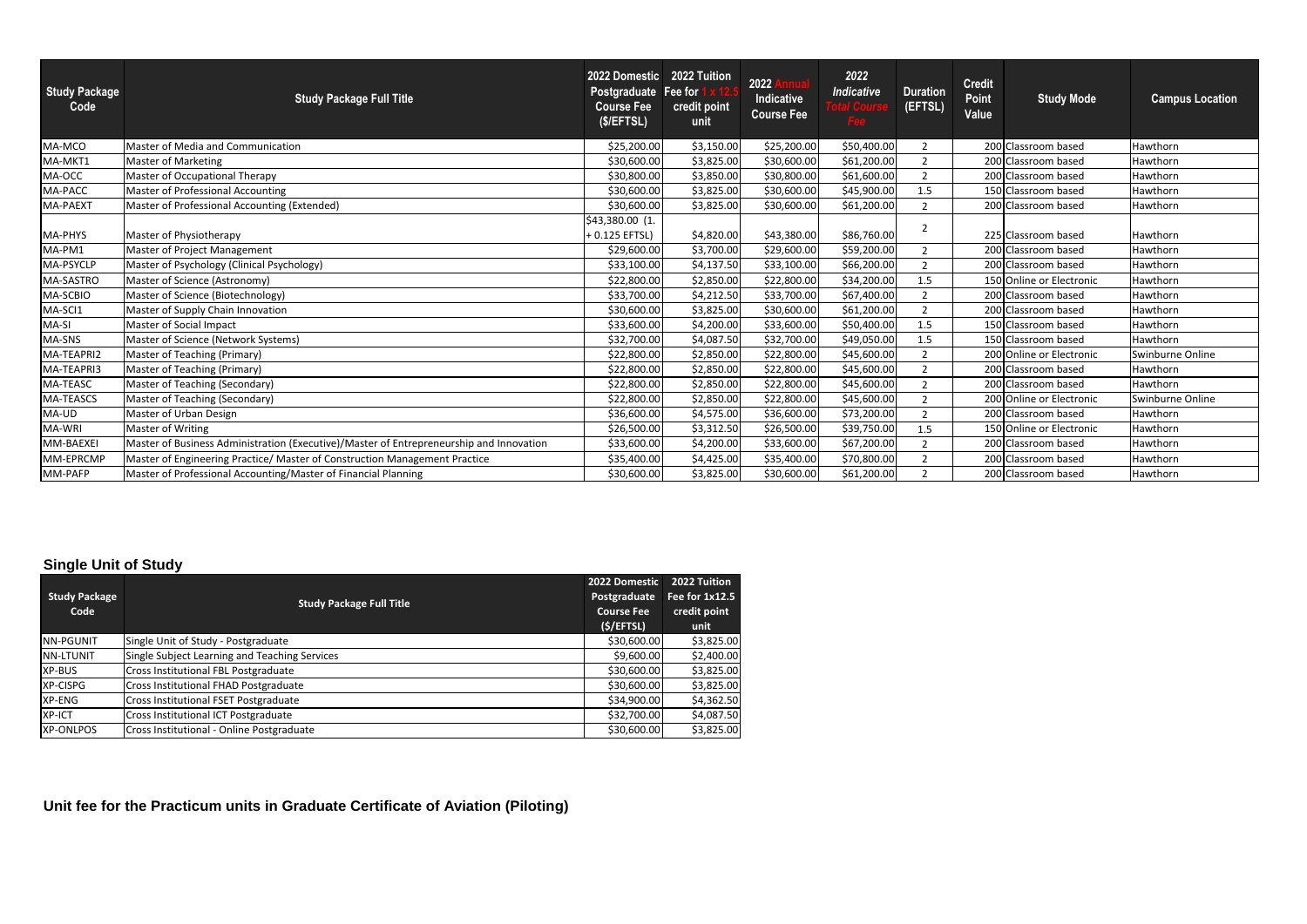| <b>Study Package</b><br>Code | <b>Study Package Full Title</b>                                                         | 2022 Domestic<br>Postgraduate Fee for<br><b>Course Fee</b><br>(S/EFFS <sub>L</sub> ) | 2022 Tuition<br>credit point<br>unit | 2022<br>Indicative<br><b>Course Fee</b> | 2022<br><b>Indicative</b><br>Fee | <b>Duration</b><br>(EFTSL) | <b>Credit</b><br><b>Point</b><br>Value | <b>Study Mode</b>        | <b>Campus Location</b> |
|------------------------------|-----------------------------------------------------------------------------------------|--------------------------------------------------------------------------------------|--------------------------------------|-----------------------------------------|----------------------------------|----------------------------|----------------------------------------|--------------------------|------------------------|
| MA-MCO                       | Master of Media and Communication                                                       | \$25,200.00                                                                          | \$3,150.00                           | \$25,200.00                             | \$50,400.00                      | $\overline{2}$             |                                        | 200 Classroom based      | Hawthorn               |
| MA-MKT1                      | <b>Master of Marketing</b>                                                              | \$30,600.00                                                                          | \$3,825.00                           | \$30,600.00                             | \$61,200.00                      | 2                          |                                        | 200 Classroom based      | Hawthorn               |
| MA-OCC                       | Master of Occupational Therapy                                                          | \$30,800.00                                                                          | \$3,850.00                           | \$30,800.00                             | \$61,600.00                      | $\overline{2}$             |                                        | 200 Classroom based      | Hawthorn               |
| MA-PACC                      | Master of Professional Accounting                                                       | \$30,600.00                                                                          | \$3,825.00                           | \$30,600.00                             | \$45,900.00                      | 1.5                        |                                        | 150 Classroom based      | Hawthorn               |
| <b>MA-PAEXT</b>              | Master of Professional Accounting (Extended)                                            | \$30,600.00                                                                          | \$3,825.00                           | \$30,600.00                             | \$61,200.00                      | $\overline{2}$             |                                        | 200 Classroom based      | Hawthorn               |
| <b>MA-PHYS</b>               | Master of Physiotherapy                                                                 | \$43,380.00 (1.<br>+ 0.125 EFTSL)                                                    | \$4,820.00                           | \$43,380.00                             | \$86,760.00                      |                            |                                        | 225 Classroom based      | Hawthorn               |
| MA-PM1                       | Master of Project Management                                                            | \$29,600.00                                                                          | \$3,700.00                           | \$29,600.00                             | \$59,200.00                      | $\overline{2}$             |                                        | 200 Classroom based      | Hawthorn               |
| MA-PSYCLP                    | Master of Psychology (Clinical Psychology)                                              | \$33,100.00                                                                          | \$4,137.50                           | \$33,100.00                             | \$66,200.00                      | $\overline{2}$             |                                        | 200 Classroom based      | Hawthorn               |
| MA-SASTRO                    | Master of Science (Astronomy)                                                           | \$22,800.00                                                                          | \$2,850.00                           | \$22,800.00                             | \$34,200.00                      | 1.5                        |                                        | 150 Online or Electronic | Hawthorn               |
| MA-SCBIO                     | Master of Science (Biotechnology)                                                       | \$33,700.00                                                                          | \$4,212.50                           | \$33,700.00                             | \$67,400.00                      | $\overline{2}$             |                                        | 200 Classroom based      | Hawthorn               |
| MA-SCI1                      | Master of Supply Chain Innovation                                                       | \$30,600.00                                                                          | \$3,825.00                           | \$30,600.00                             | \$61,200.00                      | $\overline{2}$             |                                        | 200 Classroom based      | Hawthorn               |
| MA-SI                        | Master of Social Impact                                                                 | \$33,600.00                                                                          | \$4,200.00                           | \$33,600.00                             | \$50,400.00                      | 1.5                        |                                        | 150 Classroom based      | Hawthorn               |
| MA-SNS                       | Master of Science (Network Systems)                                                     | \$32,700.00                                                                          | \$4,087.50                           | \$32,700.00                             | \$49,050.00                      | 1.5                        |                                        | 150 Classroom based      | Hawthorn               |
| MA-TEAPRI2                   | Master of Teaching (Primary)                                                            | \$22,800.00                                                                          | \$2,850.00                           | \$22,800.00                             | \$45,600.00                      | 2                          |                                        | 200 Online or Electronic | Swinburne Online       |
| MA-TEAPRI3                   | Master of Teaching (Primary)                                                            | \$22,800.00                                                                          | \$2,850.00                           | \$22,800.00                             | \$45,600.00                      | $\overline{2}$             |                                        | 200 Classroom based      | Hawthorn               |
| MA-TEASC                     | Master of Teaching (Secondary)                                                          | \$22,800.00                                                                          | \$2,850.00                           | \$22,800.00                             | \$45,600.00                      | $\mathcal{P}$              |                                        | 200 Classroom based      | Hawthorn               |
| <b>MA-TEASCS</b>             | Master of Teaching (Secondary)                                                          | \$22,800.00                                                                          | \$2,850.00                           | \$22,800.00                             | \$45,600.00                      | 2                          |                                        | 200 Online or Electronic | Swinburne Online       |
| MA-UD                        | Master of Urban Design                                                                  | \$36,600.00                                                                          | \$4,575.00                           | \$36,600.00                             | \$73,200.00                      | 2                          |                                        | 200 Classroom based      | Hawthorn               |
| MA-WRI                       | Master of Writing                                                                       | \$26,500.00                                                                          | \$3,312.50                           | \$26,500.00                             | \$39,750.00                      | 1.5                        |                                        | 150 Online or Electronic | Hawthorn               |
| MM-BAEXEI                    | Master of Business Administration (Executive)/Master of Entrepreneurship and Innovation | \$33,600.00                                                                          | \$4,200.00                           | \$33,600.00                             | \$67,200.00                      | 2                          |                                        | 200 Classroom based      | Hawthorn               |
| MM-EPRCMP                    | Master of Engineering Practice/ Master of Construction Management Practice              | \$35,400.00                                                                          | \$4,425.00                           | \$35,400.00                             | \$70,800.00                      | $\overline{2}$             |                                        | 200 Classroom based      | Hawthorn               |
| MM-PAFP                      | Master of Professional Accounting/Master of Financial Planning                          | \$30,600.00                                                                          | \$3,825.00                           | \$30,600.00                             | \$61,200.00                      | $\overline{2}$             |                                        | 200 Classroom based      | Hawthorn               |

|                      |                                               | 2022 Domestic     | 2022 Tuition   |
|----------------------|-----------------------------------------------|-------------------|----------------|
| <b>Study Package</b> | <b>Study Package Full Title</b>               | Postgraduate      | Fee for 1x12.5 |
| Code                 |                                               | <b>Course Fee</b> | credit point   |
|                      |                                               | (S/EFFSL)         | unit           |
| <b>NN-PGUNIT</b>     | Single Unit of Study - Postgraduate           | \$30,600.00       | \$3,825.00     |
| NN-LTUNIT            | Single Subject Learning and Teaching Services | \$9,600.00        | \$2,400.00     |
| XP-BUS               | Cross Institutional FBL Postgraduate          | \$30,600.00       | \$3,825.00     |
| XP-CISPG             | Cross Institutional FHAD Postgraduate         | \$30,600.00       | \$3,825.00     |
| XP-ENG               | <b>Cross Institutional FSET Postgraduate</b>  | \$34,900.00       | \$4,362.50     |
| XP-ICT               | Cross Institutional ICT Postgraduate          | \$32,700.00       | \$4,087.50     |
| <b>XP-ONLPOS</b>     | Cross Institutional - Online Postgraduate     | \$30,600.00       | \$3,825.00     |

# **Single Unit of Study**

# **Unit fee for the Practicum units in Graduate Certificate of Aviation (Piloting)**